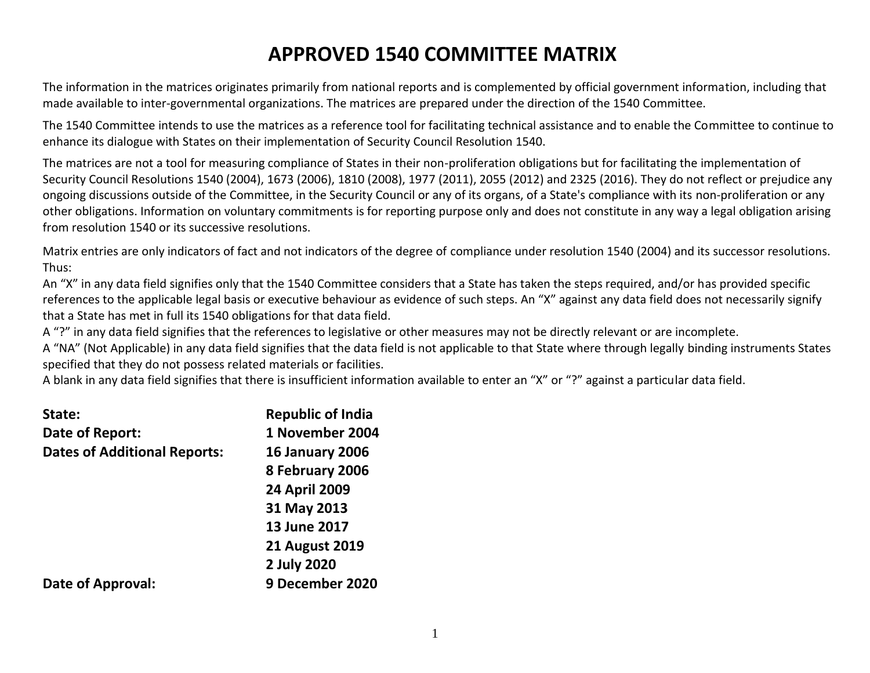# **APPROVED 1540 COMMITTEE MATRIX**

The information in the matrices originates primarily from national reports and is complemented by official government information, including that made available to inter-governmental organizations. The matrices are prepared under the direction of the 1540 Committee.

The 1540 Committee intends to use the matrices as a reference tool for facilitating technical assistance and to enable the Committee to continue to enhance its dialogue with States on their implementation of Security Council Resolution 1540.

The matrices are not a tool for measuring compliance of States in their non-proliferation obligations but for facilitating the implementation of Security Council Resolutions 1540 (2004), 1673 (2006), 1810 (2008), 1977 (2011), 2055 (2012) and 2325 (2016). They do not reflect or prejudice any ongoing discussions outside of the Committee, in the Security Council or any of its organs, of a State's compliance with its non-proliferation or any other obligations. Information on voluntary commitments is for reporting purpose only and does not constitute in any way a legal obligation arising from resolution 1540 or its successive resolutions.

Matrix entries are only indicators of fact and not indicators of the degree of compliance under resolution 1540 (2004) and its successor resolutions. Thus:

An "X" in any data field signifies only that the 1540 Committee considers that a State has taken the steps required, and/or has provided specific references to the applicable legal basis or executive behaviour as evidence of such steps. An "X" against any data field does not necessarily signify that a State has met in full its 1540 obligations for that data field.

A "?" in any data field signifies that the references to legislative or other measures may not be directly relevant or are incomplete.

A "NA" (Not Applicable) in any data field signifies that the data field is not applicable to that State where through legally binding instruments States specified that they do not possess related materials or facilities.

A blank in any data field signifies that there is insufficient information available to enter an "X" or "?" against a particular data field.

| State:                              | <b>Republic of India</b> |
|-------------------------------------|--------------------------|
| Date of Report:                     | 1 November 2004          |
| <b>Dates of Additional Reports:</b> | <b>16 January 2006</b>   |
|                                     | 8 February 2006          |
|                                     | <b>24 April 2009</b>     |
|                                     | 31 May 2013              |
|                                     | 13 June 2017             |
|                                     | <b>21 August 2019</b>    |
|                                     | 2 July 2020              |
| Date of Approval:                   | 9 December 2020          |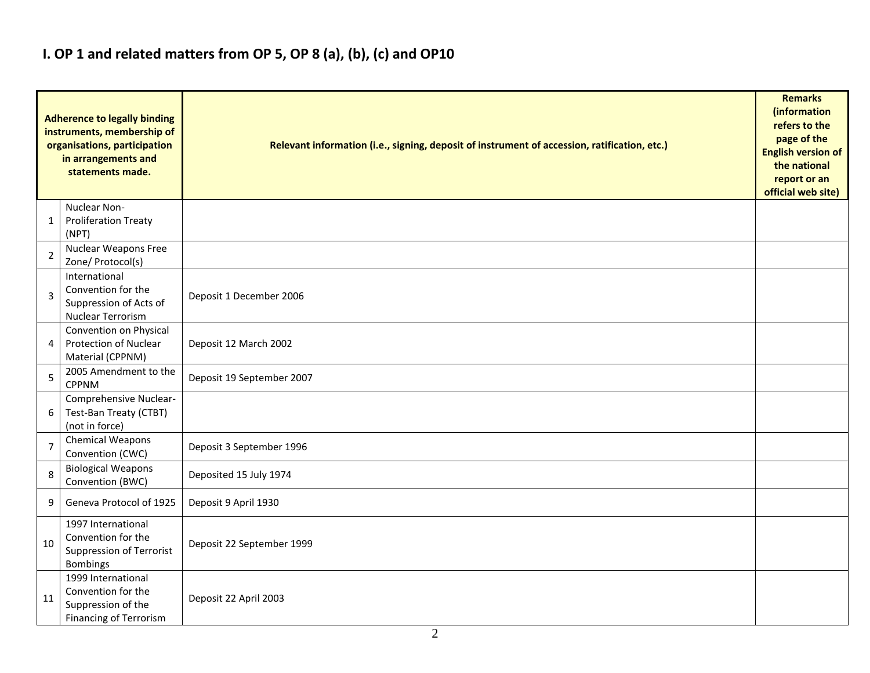## **I. OP 1 and related matters from OP 5, OP 8 (a), (b), (c) and OP10**

|                | <b>Adherence to legally binding</b><br>instruments, membership of<br>organisations, participation<br>in arrangements and<br>statements made. | Relevant information (i.e., signing, deposit of instrument of accession, ratification, etc.) |  |  |  |  |  |  |  |  |  |
|----------------|----------------------------------------------------------------------------------------------------------------------------------------------|----------------------------------------------------------------------------------------------|--|--|--|--|--|--|--|--|--|
| 1              | Nuclear Non-<br><b>Proliferation Treaty</b><br>(NPT)                                                                                         |                                                                                              |  |  |  |  |  |  |  |  |  |
| $\overline{2}$ | Nuclear Weapons Free<br>Zone/ Protocol(s)                                                                                                    |                                                                                              |  |  |  |  |  |  |  |  |  |
| 3              | International<br>Convention for the<br>Suppression of Acts of<br>Nuclear Terrorism                                                           | Deposit 1 December 2006                                                                      |  |  |  |  |  |  |  |  |  |
| 4              | Convention on Physical<br>Protection of Nuclear<br>Material (CPPNM)                                                                          | Deposit 12 March 2002                                                                        |  |  |  |  |  |  |  |  |  |
| 5              | 2005 Amendment to the<br><b>CPPNM</b>                                                                                                        | Deposit 19 September 2007                                                                    |  |  |  |  |  |  |  |  |  |
| 6              | Comprehensive Nuclear-<br>Test-Ban Treaty (CTBT)<br>(not in force)                                                                           |                                                                                              |  |  |  |  |  |  |  |  |  |
| $\overline{7}$ | <b>Chemical Weapons</b><br>Convention (CWC)                                                                                                  | Deposit 3 September 1996                                                                     |  |  |  |  |  |  |  |  |  |
| 8              | <b>Biological Weapons</b><br>Convention (BWC)                                                                                                | Deposited 15 July 1974                                                                       |  |  |  |  |  |  |  |  |  |
| 9              | Geneva Protocol of 1925                                                                                                                      | Deposit 9 April 1930                                                                         |  |  |  |  |  |  |  |  |  |
| 10             | 1997 International<br>Convention for the<br>Suppression of Terrorist<br><b>Bombings</b>                                                      | Deposit 22 September 1999                                                                    |  |  |  |  |  |  |  |  |  |
| 11             | 1999 International<br>Convention for the<br>Suppression of the<br>Financing of Terrorism                                                     | Deposit 22 April 2003                                                                        |  |  |  |  |  |  |  |  |  |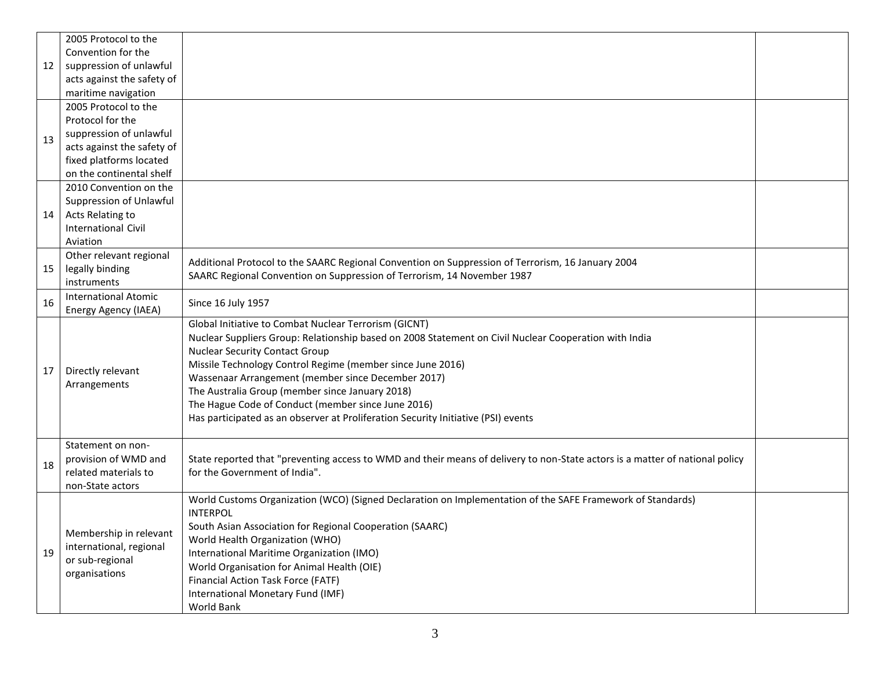|    | 2005 Protocol to the       |                                                                                                                              |  |
|----|----------------------------|------------------------------------------------------------------------------------------------------------------------------|--|
|    | Convention for the         |                                                                                                                              |  |
| 12 | suppression of unlawful    |                                                                                                                              |  |
|    | acts against the safety of |                                                                                                                              |  |
|    | maritime navigation        |                                                                                                                              |  |
|    | 2005 Protocol to the       |                                                                                                                              |  |
|    | Protocol for the           |                                                                                                                              |  |
| 13 | suppression of unlawful    |                                                                                                                              |  |
|    | acts against the safety of |                                                                                                                              |  |
|    | fixed platforms located    |                                                                                                                              |  |
|    | on the continental shelf   |                                                                                                                              |  |
|    | 2010 Convention on the     |                                                                                                                              |  |
|    | Suppression of Unlawful    |                                                                                                                              |  |
| 14 | Acts Relating to           |                                                                                                                              |  |
|    | <b>International Civil</b> |                                                                                                                              |  |
|    | Aviation                   |                                                                                                                              |  |
|    | Other relevant regional    | Additional Protocol to the SAARC Regional Convention on Suppression of Terrorism, 16 January 2004                            |  |
| 15 | legally binding            | SAARC Regional Convention on Suppression of Terrorism, 14 November 1987                                                      |  |
|    | instruments                |                                                                                                                              |  |
| 16 | International Atomic       | Since 16 July 1957                                                                                                           |  |
|    | Energy Agency (IAEA)       |                                                                                                                              |  |
|    |                            | Global Initiative to Combat Nuclear Terrorism (GICNT)                                                                        |  |
|    |                            | Nuclear Suppliers Group: Relationship based on 2008 Statement on Civil Nuclear Cooperation with India                        |  |
|    |                            | <b>Nuclear Security Contact Group</b>                                                                                        |  |
| 17 | Directly relevant          | Missile Technology Control Regime (member since June 2016)                                                                   |  |
|    | Arrangements               | Wassenaar Arrangement (member since December 2017)                                                                           |  |
|    |                            | The Australia Group (member since January 2018)                                                                              |  |
|    |                            | The Hague Code of Conduct (member since June 2016)                                                                           |  |
|    |                            | Has participated as an observer at Proliferation Security Initiative (PSI) events                                            |  |
|    | Statement on non-          |                                                                                                                              |  |
|    | provision of WMD and       | State reported that "preventing access to WMD and their means of delivery to non-State actors is a matter of national policy |  |
| 18 | related materials to       | for the Government of India".                                                                                                |  |
|    | non-State actors           |                                                                                                                              |  |
|    |                            | World Customs Organization (WCO) (Signed Declaration on Implementation of the SAFE Framework of Standards)                   |  |
|    |                            | <b>INTERPOL</b>                                                                                                              |  |
|    |                            | South Asian Association for Regional Cooperation (SAARC)                                                                     |  |
|    | Membership in relevant     | World Health Organization (WHO)                                                                                              |  |
| 19 | international, regional    | International Maritime Organization (IMO)                                                                                    |  |
|    | or sub-regional            | World Organisation for Animal Health (OIE)                                                                                   |  |
|    | organisations              | Financial Action Task Force (FATF)                                                                                           |  |
|    |                            | International Monetary Fund (IMF)                                                                                            |  |
|    |                            | World Bank                                                                                                                   |  |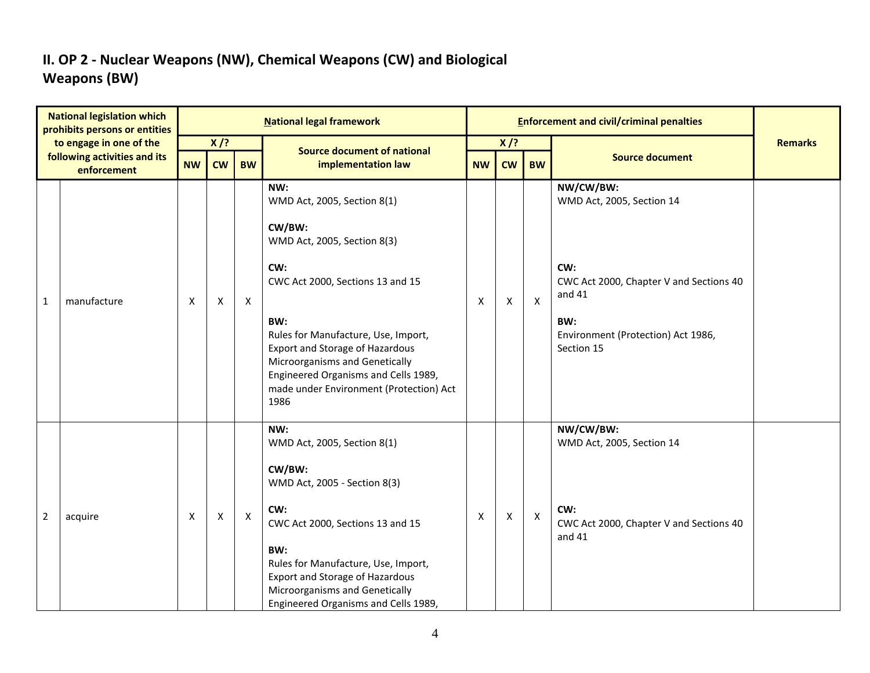### **II. OP 2 - Nuclear Weapons (NW), Chemical Weapons (CW) and Biological Weapons (BW)**

|                | <b>National legislation which</b><br>prohibits persons or entities |           |                    |                           | <b>National legal framework</b>                                                                                                                                                                                                                                                                                                             |           |           |                           | <b>Enforcement and civil/criminal penalties</b>                                                                                                               |                |
|----------------|--------------------------------------------------------------------|-----------|--------------------|---------------------------|---------------------------------------------------------------------------------------------------------------------------------------------------------------------------------------------------------------------------------------------------------------------------------------------------------------------------------------------|-----------|-----------|---------------------------|---------------------------------------------------------------------------------------------------------------------------------------------------------------|----------------|
|                | to engage in one of the                                            |           | $X$ /?             |                           | <b>Source document of national</b>                                                                                                                                                                                                                                                                                                          |           | $X$ /?    |                           |                                                                                                                                                               | <b>Remarks</b> |
|                | following activities and its<br>enforcement                        | <b>NW</b> | <b>CW</b>          | <b>BW</b>                 | implementation law                                                                                                                                                                                                                                                                                                                          | <b>NW</b> | <b>CW</b> | <b>BW</b>                 | <b>Source document</b>                                                                                                                                        |                |
| $\mathbf{1}$   | manufacture                                                        | Х         | X                  | $\boldsymbol{\mathsf{X}}$ | NW:<br>WMD Act, 2005, Section 8(1)<br>CW/BW:<br>WMD Act, 2005, Section 8(3)<br>CW:<br>CWC Act 2000, Sections 13 and 15<br>BW:<br>Rules for Manufacture, Use, Import,<br><b>Export and Storage of Hazardous</b><br>Microorganisms and Genetically<br>Engineered Organisms and Cells 1989,<br>made under Environment (Protection) Act<br>1986 | X         | X         | $\boldsymbol{\mathsf{X}}$ | NW/CW/BW:<br>WMD Act, 2005, Section 14<br>CW:<br>CWC Act 2000, Chapter V and Sections 40<br>and 41<br>BW:<br>Environment (Protection) Act 1986,<br>Section 15 |                |
| $\overline{2}$ | acquire                                                            | Х         | $\pmb{\mathsf{X}}$ | $\pmb{\times}$            | NW:<br>WMD Act, 2005, Section 8(1)<br>CW/BW:<br>WMD Act, 2005 - Section 8(3)<br>CW:<br>CWC Act 2000, Sections 13 and 15<br>BW:<br>Rules for Manufacture, Use, Import,<br><b>Export and Storage of Hazardous</b><br>Microorganisms and Genetically<br>Engineered Organisms and Cells 1989,                                                   | х         | X         | $\boldsymbol{\mathsf{X}}$ | NW/CW/BW:<br>WMD Act, 2005, Section 14<br>CW:<br>CWC Act 2000, Chapter V and Sections 40<br>and 41                                                            |                |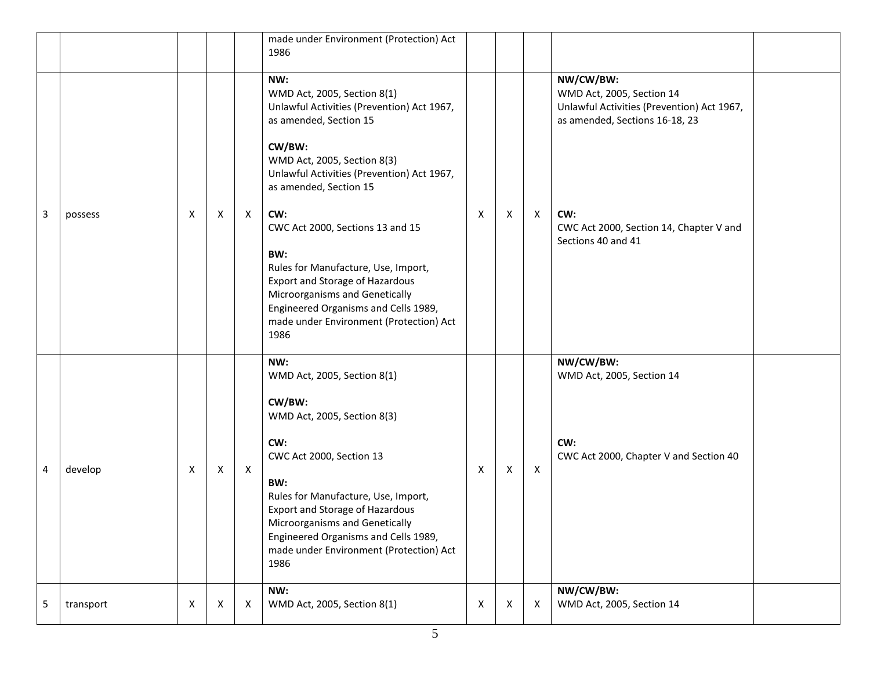|   |           |   |   |   | made under Environment (Protection) Act<br>1986                                                                                                                                                                                                                                                                                                                                                                                                                                             |   |   |              |                                                                                                                                                                                                |  |
|---|-----------|---|---|---|---------------------------------------------------------------------------------------------------------------------------------------------------------------------------------------------------------------------------------------------------------------------------------------------------------------------------------------------------------------------------------------------------------------------------------------------------------------------------------------------|---|---|--------------|------------------------------------------------------------------------------------------------------------------------------------------------------------------------------------------------|--|
| 3 | possess   | Χ | X | X | NW:<br>WMD Act, 2005, Section 8(1)<br>Unlawful Activities (Prevention) Act 1967,<br>as amended, Section 15<br>CW/BW:<br>WMD Act, 2005, Section 8(3)<br>Unlawful Activities (Prevention) Act 1967,<br>as amended, Section 15<br>CW:<br>CWC Act 2000, Sections 13 and 15<br>BW:<br>Rules for Manufacture, Use, Import,<br><b>Export and Storage of Hazardous</b><br>Microorganisms and Genetically<br>Engineered Organisms and Cells 1989,<br>made under Environment (Protection) Act<br>1986 | X | X | $\mathsf{X}$ | NW/CW/BW:<br>WMD Act, 2005, Section 14<br>Unlawful Activities (Prevention) Act 1967,<br>as amended, Sections 16-18, 23<br>CW:<br>CWC Act 2000, Section 14, Chapter V and<br>Sections 40 and 41 |  |
| 4 | develop   | Χ | Χ | X | NW:<br>WMD Act, 2005, Section 8(1)<br>CW/BW:<br>WMD Act, 2005, Section 8(3)<br>CW:<br>CWC Act 2000, Section 13<br>BW:<br>Rules for Manufacture, Use, Import,<br><b>Export and Storage of Hazardous</b><br>Microorganisms and Genetically<br>Engineered Organisms and Cells 1989,<br>made under Environment (Protection) Act<br>1986                                                                                                                                                         | Χ | X | $\mathsf{X}$ | NW/CW/BW:<br>WMD Act, 2005, Section 14<br>CW:<br>CWC Act 2000, Chapter V and Section 40                                                                                                        |  |
| 5 | transport | X | X | X | NW:<br>WMD Act, 2005, Section 8(1)                                                                                                                                                                                                                                                                                                                                                                                                                                                          | X | X | X            | NW/CW/BW:<br>WMD Act, 2005, Section 14                                                                                                                                                         |  |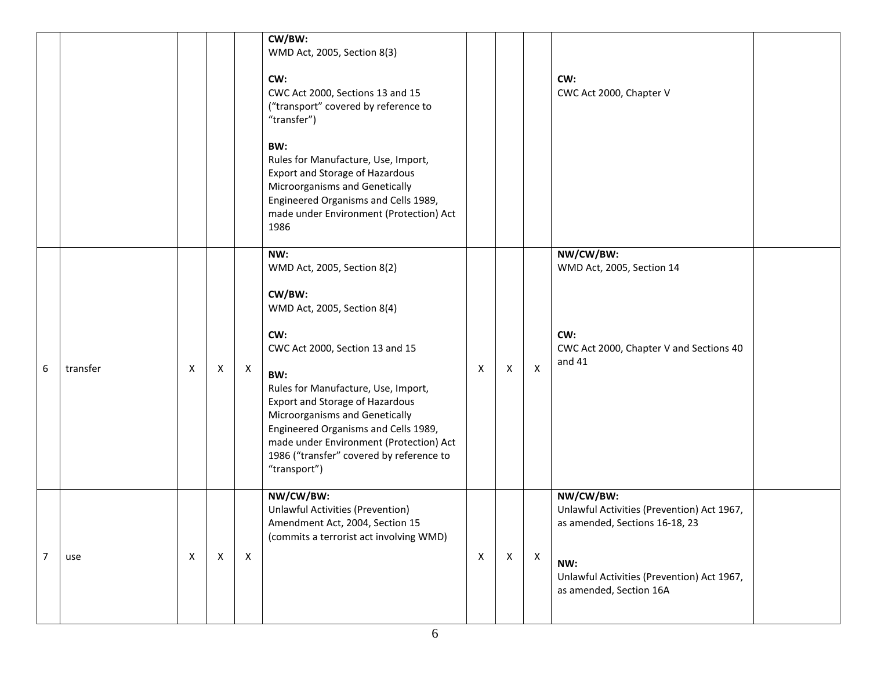|                |          |   |              |              | CW/BW:<br>WMD Act, 2005, Section 8(3)<br>CW:<br>CWC Act 2000, Sections 13 and 15<br>("transport" covered by reference to<br>"transfer")<br>BW:<br>Rules for Manufacture, Use, Import,<br>Export and Storage of Hazardous<br>Microorganisms and Genetically<br>Engineered Organisms and Cells 1989,<br>made under Environment (Protection) Act<br>1986                                          |   |              |                           | CW:<br>CWC Act 2000, Chapter V                                                                                                                                            |
|----------------|----------|---|--------------|--------------|------------------------------------------------------------------------------------------------------------------------------------------------------------------------------------------------------------------------------------------------------------------------------------------------------------------------------------------------------------------------------------------------|---|--------------|---------------------------|---------------------------------------------------------------------------------------------------------------------------------------------------------------------------|
| 6              | transfer | Χ | X            | X            | NW:<br>WMD Act, 2005, Section 8(2)<br>CW/BW:<br>WMD Act, 2005, Section 8(4)<br>CW:<br>CWC Act 2000, Section 13 and 15<br>BW:<br>Rules for Manufacture, Use, Import,<br><b>Export and Storage of Hazardous</b><br>Microorganisms and Genetically<br>Engineered Organisms and Cells 1989,<br>made under Environment (Protection) Act<br>1986 ("transfer" covered by reference to<br>"transport") | X | $\mathsf{X}$ | $\boldsymbol{\mathsf{X}}$ | NW/CW/BW:<br>WMD Act, 2005, Section 14<br>CW:<br>CWC Act 2000, Chapter V and Sections 40<br>and 41                                                                        |
| $\overline{7}$ | use      | X | $\mathsf{X}$ | $\mathsf{X}$ | NW/CW/BW:<br><b>Unlawful Activities (Prevention)</b><br>Amendment Act, 2004, Section 15<br>(commits a terrorist act involving WMD)                                                                                                                                                                                                                                                             | X | $\mathsf X$  | $\mathsf{X}$              | NW/CW/BW:<br>Unlawful Activities (Prevention) Act 1967,<br>as amended, Sections 16-18, 23<br>NW:<br>Unlawful Activities (Prevention) Act 1967,<br>as amended, Section 16A |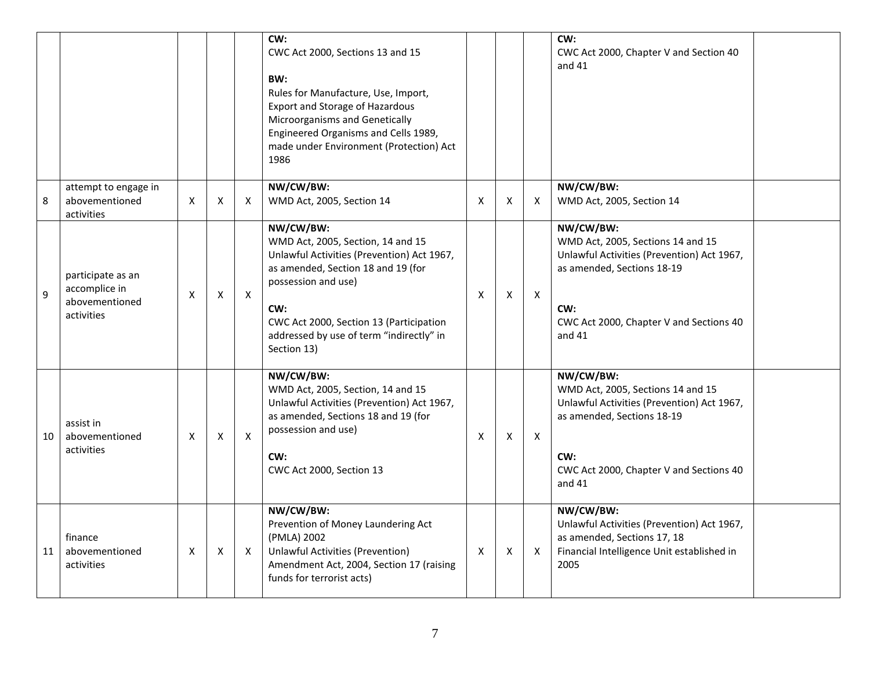|    |                                                                    |   |                    |              | CW:<br>CWC Act 2000, Sections 13 and 15<br>BW:<br>Rules for Manufacture, Use, Import,<br><b>Export and Storage of Hazardous</b><br>Microorganisms and Genetically<br>Engineered Organisms and Cells 1989,<br>made under Environment (Protection) Act<br>1986           |   |   |                           | CW:<br>CWC Act 2000, Chapter V and Section 40<br>and $41$                                                                                                                                |
|----|--------------------------------------------------------------------|---|--------------------|--------------|------------------------------------------------------------------------------------------------------------------------------------------------------------------------------------------------------------------------------------------------------------------------|---|---|---------------------------|------------------------------------------------------------------------------------------------------------------------------------------------------------------------------------------|
| 8  | attempt to engage in<br>abovementioned<br>activities               | X | X                  | $\times$     | NW/CW/BW:<br>WMD Act, 2005, Section 14                                                                                                                                                                                                                                 | X | X | X                         | NW/CW/BW:<br>WMD Act, 2005, Section 14                                                                                                                                                   |
| 9  | participate as an<br>accomplice in<br>abovementioned<br>activities | Х | $\pmb{\mathsf{X}}$ | X            | NW/CW/BW:<br>WMD Act, 2005, Section, 14 and 15<br>Unlawful Activities (Prevention) Act 1967,<br>as amended, Section 18 and 19 (for<br>possession and use)<br>CW:<br>CWC Act 2000, Section 13 (Participation<br>addressed by use of term "indirectly" in<br>Section 13) | X | Χ | $\boldsymbol{\mathsf{X}}$ | NW/CW/BW:<br>WMD Act, 2005, Sections 14 and 15<br>Unlawful Activities (Prevention) Act 1967,<br>as amended, Sections 18-19<br>CW:<br>CWC Act 2000, Chapter V and Sections 40<br>and $41$ |
| 10 | assist in<br>abovementioned<br>activities                          | X | X                  | $\mathsf{x}$ | NW/CW/BW:<br>WMD Act, 2005, Section, 14 and 15<br>Unlawful Activities (Prevention) Act 1967,<br>as amended, Sections 18 and 19 (for<br>possession and use)<br>CW:<br>CWC Act 2000, Section 13                                                                          | X | X | $\mathsf{x}$              | NW/CW/BW:<br>WMD Act, 2005, Sections 14 and 15<br>Unlawful Activities (Prevention) Act 1967,<br>as amended, Sections 18-19<br>CW:<br>CWC Act 2000, Chapter V and Sections 40<br>and $41$ |
| 11 | finance<br>abovementioned<br>activities                            | X | Χ                  | X            | NW/CW/BW:<br>Prevention of Money Laundering Act<br>(PMLA) 2002<br><b>Unlawful Activities (Prevention)</b><br>Amendment Act, 2004, Section 17 (raising<br>funds for terrorist acts)                                                                                     | X | Χ | $\times$                  | NW/CW/BW:<br>Unlawful Activities (Prevention) Act 1967,<br>as amended, Sections 17, 18<br>Financial Intelligence Unit established in<br>2005                                             |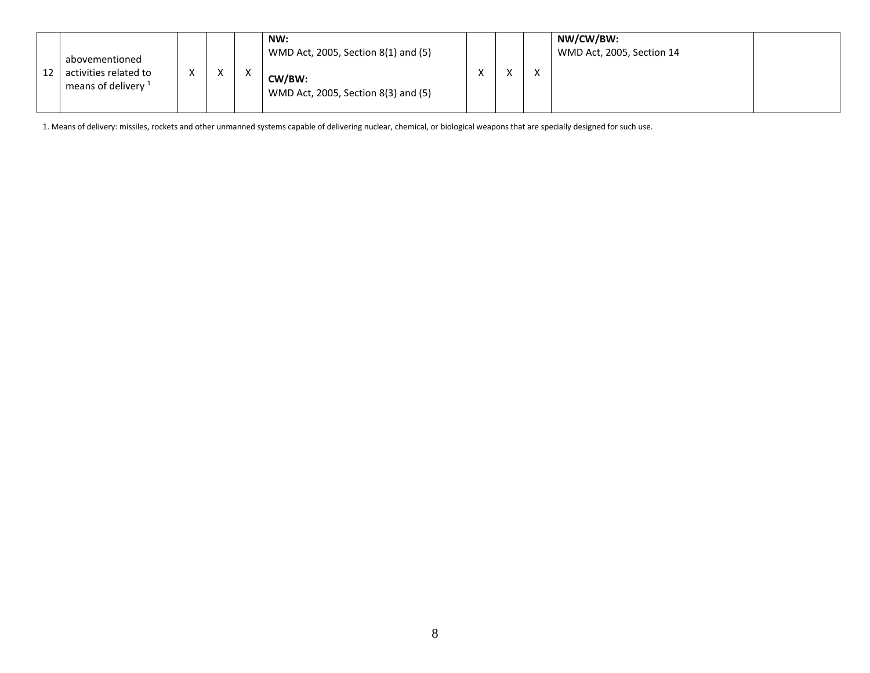| 12 | abovementioned<br>activities related to<br>means of delivery <sup>1</sup> | $\cdot$ | $\lambda$ |  | NW:<br>WMD Act, 2005, Section 8(1) and (5)<br>CW/BW:<br>WMD Act, 2005, Section 8(3) and (5) |  |  | $\ddot{\phantom{1}}$ | NW/CW/BW:<br>WMD Act, 2005, Section 14 |  |
|----|---------------------------------------------------------------------------|---------|-----------|--|---------------------------------------------------------------------------------------------|--|--|----------------------|----------------------------------------|--|
|----|---------------------------------------------------------------------------|---------|-----------|--|---------------------------------------------------------------------------------------------|--|--|----------------------|----------------------------------------|--|

1. Means of delivery: missiles, rockets and other unmanned systems capable of delivering nuclear, chemical, or biological weapons that are specially designed for such use.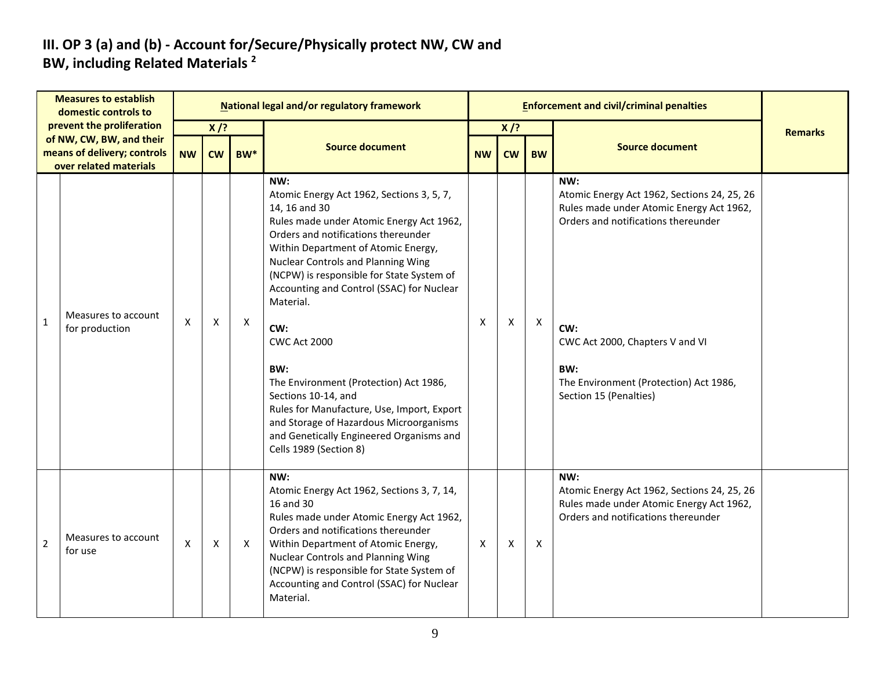#### **III. OP 3 (a) and (b) - Account for/Secure/Physically protect NW, CW and BW, including Related Materials <sup>2</sup>**

|                | <b>Measures to establish</b><br>domestic controls to                                                           |           |                           |                           | <b>National legal and/or regulatory framework</b>                                                                                                                                                                                                                                                                                                                                                                                                                                                                                                                                                                    |                           |                     |              | <b>Enforcement and civil/criminal penalties</b>                                                                                                                                                                                                            |                |
|----------------|----------------------------------------------------------------------------------------------------------------|-----------|---------------------------|---------------------------|----------------------------------------------------------------------------------------------------------------------------------------------------------------------------------------------------------------------------------------------------------------------------------------------------------------------------------------------------------------------------------------------------------------------------------------------------------------------------------------------------------------------------------------------------------------------------------------------------------------------|---------------------------|---------------------|--------------|------------------------------------------------------------------------------------------------------------------------------------------------------------------------------------------------------------------------------------------------------------|----------------|
|                | prevent the proliferation<br>of NW, CW, BW, and their<br>means of delivery; controls<br>over related materials | <b>NW</b> | $X$ /?<br><b>CW</b>       | BW <sup>*</sup>           | <b>Source document</b>                                                                                                                                                                                                                                                                                                                                                                                                                                                                                                                                                                                               | <b>NW</b>                 | $X$ /?<br><b>CW</b> | <b>BW</b>    | <b>Source document</b>                                                                                                                                                                                                                                     | <b>Remarks</b> |
| $\overline{1}$ | Measures to account<br>for production                                                                          | X         | $\boldsymbol{\mathsf{X}}$ | $\boldsymbol{\mathsf{X}}$ | NW:<br>Atomic Energy Act 1962, Sections 3, 5, 7,<br>14, 16 and 30<br>Rules made under Atomic Energy Act 1962,<br>Orders and notifications thereunder<br>Within Department of Atomic Energy,<br><b>Nuclear Controls and Planning Wing</b><br>(NCPW) is responsible for State System of<br>Accounting and Control (SSAC) for Nuclear<br>Material.<br>CW:<br><b>CWC Act 2000</b><br>BW:<br>The Environment (Protection) Act 1986,<br>Sections 10-14, and<br>Rules for Manufacture, Use, Import, Export<br>and Storage of Hazardous Microorganisms<br>and Genetically Engineered Organisms and<br>Cells 1989 (Section 8) | $\boldsymbol{\mathsf{X}}$ | X                   | $\mathsf{X}$ | NW:<br>Atomic Energy Act 1962, Sections 24, 25, 26<br>Rules made under Atomic Energy Act 1962,<br>Orders and notifications thereunder<br>CW:<br>CWC Act 2000, Chapters V and VI<br>BW:<br>The Environment (Protection) Act 1986,<br>Section 15 (Penalties) |                |
| $\overline{2}$ | Measures to account<br>for use                                                                                 | X         | X                         | $\mathsf{X}$              | NW:<br>Atomic Energy Act 1962, Sections 3, 7, 14,<br>16 and 30<br>Rules made under Atomic Energy Act 1962,<br>Orders and notifications thereunder<br>Within Department of Atomic Energy,<br>Nuclear Controls and Planning Wing<br>(NCPW) is responsible for State System of<br>Accounting and Control (SSAC) for Nuclear<br>Material.                                                                                                                                                                                                                                                                                | $\mathsf{x}$              | X                   | $\mathsf{X}$ | NW:<br>Atomic Energy Act 1962, Sections 24, 25, 26<br>Rules made under Atomic Energy Act 1962,<br>Orders and notifications thereunder                                                                                                                      |                |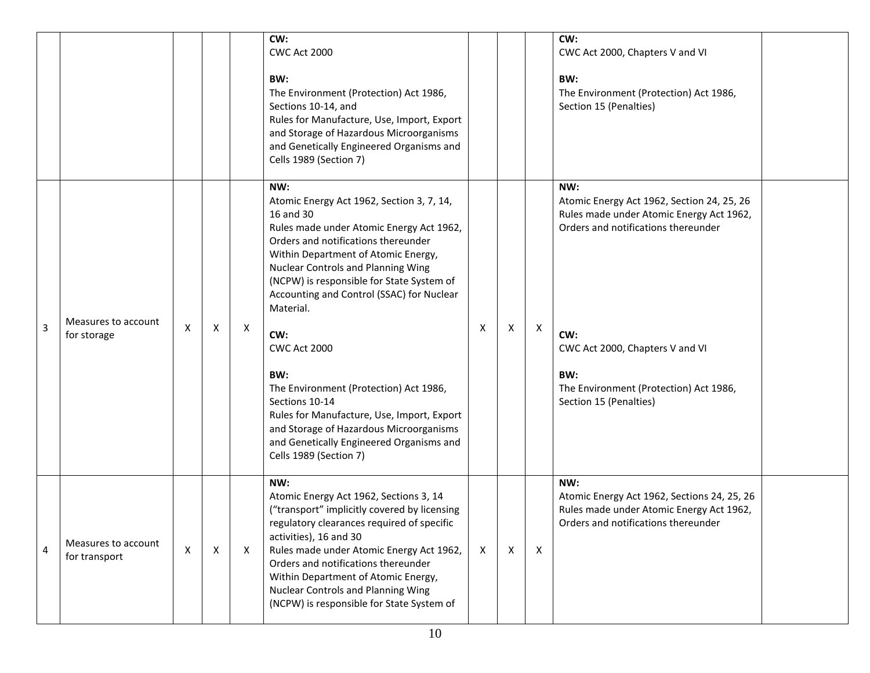|                |                                      |   |              |   | CW:<br><b>CWC Act 2000</b><br>BW:<br>The Environment (Protection) Act 1986,<br>Sections 10-14, and<br>Rules for Manufacture, Use, Import, Export<br>and Storage of Hazardous Microorganisms<br>and Genetically Engineered Organisms and<br>Cells 1989 (Section 7)                                                                                                                                                                                                                                                                                                                                           |              |   |              | CW:<br>CWC Act 2000, Chapters V and VI<br>BW:<br>The Environment (Protection) Act 1986,<br>Section 15 (Penalties)                                                                                                                                         |
|----------------|--------------------------------------|---|--------------|---|-------------------------------------------------------------------------------------------------------------------------------------------------------------------------------------------------------------------------------------------------------------------------------------------------------------------------------------------------------------------------------------------------------------------------------------------------------------------------------------------------------------------------------------------------------------------------------------------------------------|--------------|---|--------------|-----------------------------------------------------------------------------------------------------------------------------------------------------------------------------------------------------------------------------------------------------------|
| $\overline{3}$ | Measures to account<br>for storage   | X | Χ            | X | NW:<br>Atomic Energy Act 1962, Section 3, 7, 14,<br>16 and 30<br>Rules made under Atomic Energy Act 1962,<br>Orders and notifications thereunder<br>Within Department of Atomic Energy,<br><b>Nuclear Controls and Planning Wing</b><br>(NCPW) is responsible for State System of<br>Accounting and Control (SSAC) for Nuclear<br>Material.<br>CW:<br><b>CWC Act 2000</b><br>BW:<br>The Environment (Protection) Act 1986,<br>Sections 10-14<br>Rules for Manufacture, Use, Import, Export<br>and Storage of Hazardous Microorganisms<br>and Genetically Engineered Organisms and<br>Cells 1989 (Section 7) | X            | Χ | X            | NW:<br>Atomic Energy Act 1962, Section 24, 25, 26<br>Rules made under Atomic Energy Act 1962,<br>Orders and notifications thereunder<br>CW:<br>CWC Act 2000, Chapters V and VI<br>BW:<br>The Environment (Protection) Act 1986,<br>Section 15 (Penalties) |
| 4              | Measures to account<br>for transport | X | $\mathsf{x}$ | X | NW:<br>Atomic Energy Act 1962, Sections 3, 14<br>("transport" implicitly covered by licensing<br>regulatory clearances required of specific<br>activities), 16 and 30<br>Rules made under Atomic Energy Act 1962,<br>Orders and notifications thereunder<br>Within Department of Atomic Energy,<br>Nuclear Controls and Planning Wing<br>(NCPW) is responsible for State System of                                                                                                                                                                                                                          | $\mathsf{X}$ | X | $\mathsf{x}$ | NW:<br>Atomic Energy Act 1962, Sections 24, 25, 26<br>Rules made under Atomic Energy Act 1962,<br>Orders and notifications thereunder                                                                                                                     |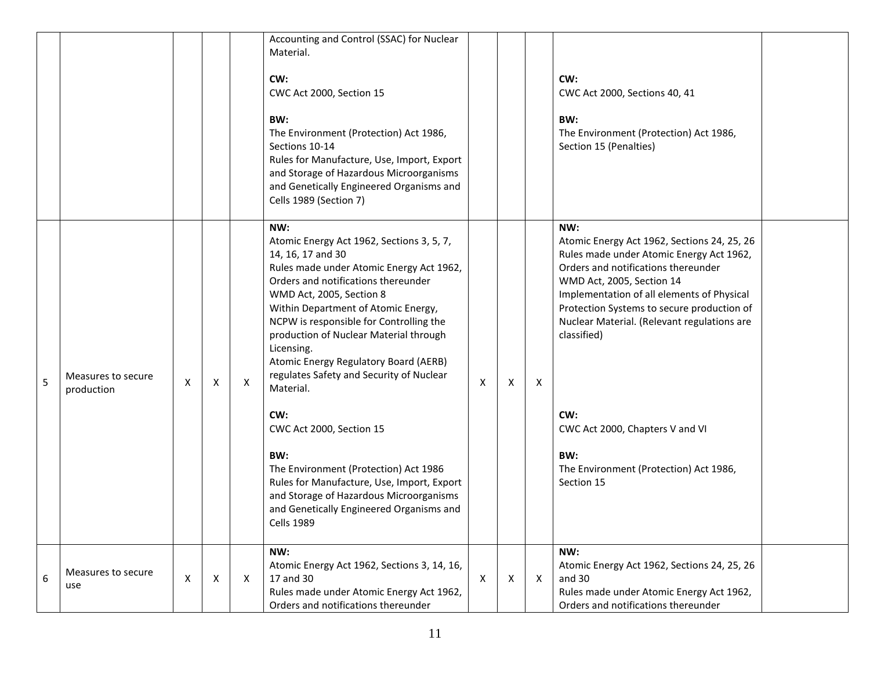|   |                                  |                |   |   | Accounting and Control (SSAC) for Nuclear<br>Material.<br>CW:<br>CWC Act 2000, Section 15<br>BW:<br>The Environment (Protection) Act 1986,<br>Sections 10-14<br>Rules for Manufacture, Use, Import, Export<br>and Storage of Hazardous Microorganisms<br>and Genetically Engineered Organisms and<br>Cells 1989 (Section 7)                                                                                                                                                                                                                                                                                                                                                   |   |   |              | CW:<br>CWC Act 2000, Sections 40, 41<br>BW:<br>The Environment (Protection) Act 1986,<br>Section 15 (Penalties)                                                                                                                                                                                                                                                                                                                       |  |
|---|----------------------------------|----------------|---|---|-------------------------------------------------------------------------------------------------------------------------------------------------------------------------------------------------------------------------------------------------------------------------------------------------------------------------------------------------------------------------------------------------------------------------------------------------------------------------------------------------------------------------------------------------------------------------------------------------------------------------------------------------------------------------------|---|---|--------------|---------------------------------------------------------------------------------------------------------------------------------------------------------------------------------------------------------------------------------------------------------------------------------------------------------------------------------------------------------------------------------------------------------------------------------------|--|
| 5 | Measures to secure<br>production | X              | Χ | X | NW:<br>Atomic Energy Act 1962, Sections 3, 5, 7,<br>14, 16, 17 and 30<br>Rules made under Atomic Energy Act 1962,<br>Orders and notifications thereunder<br>WMD Act, 2005, Section 8<br>Within Department of Atomic Energy,<br>NCPW is responsible for Controlling the<br>production of Nuclear Material through<br>Licensing.<br>Atomic Energy Regulatory Board (AERB)<br>regulates Safety and Security of Nuclear<br>Material.<br>CW:<br>CWC Act 2000, Section 15<br>BW:<br>The Environment (Protection) Act 1986<br>Rules for Manufacture, Use, Import, Export<br>and Storage of Hazardous Microorganisms<br>and Genetically Engineered Organisms and<br><b>Cells 1989</b> | X | Χ | Χ            | NW:<br>Atomic Energy Act 1962, Sections 24, 25, 26<br>Rules made under Atomic Energy Act 1962,<br>Orders and notifications thereunder<br>WMD Act, 2005, Section 14<br>Implementation of all elements of Physical<br>Protection Systems to secure production of<br>Nuclear Material. (Relevant regulations are<br>classified)<br>CW:<br>CWC Act 2000, Chapters V and VI<br>BW:<br>The Environment (Protection) Act 1986,<br>Section 15 |  |
| 6 | Measures to secure<br>use        | $\pmb{\times}$ | Χ | Χ | NW:<br>Atomic Energy Act 1962, Sections 3, 14, 16,<br>17 and 30<br>Rules made under Atomic Energy Act 1962,<br>Orders and notifications thereunder                                                                                                                                                                                                                                                                                                                                                                                                                                                                                                                            | X | Χ | $\mathsf{X}$ | NW:<br>Atomic Energy Act 1962, Sections 24, 25, 26<br>and 30<br>Rules made under Atomic Energy Act 1962,<br>Orders and notifications thereunder                                                                                                                                                                                                                                                                                       |  |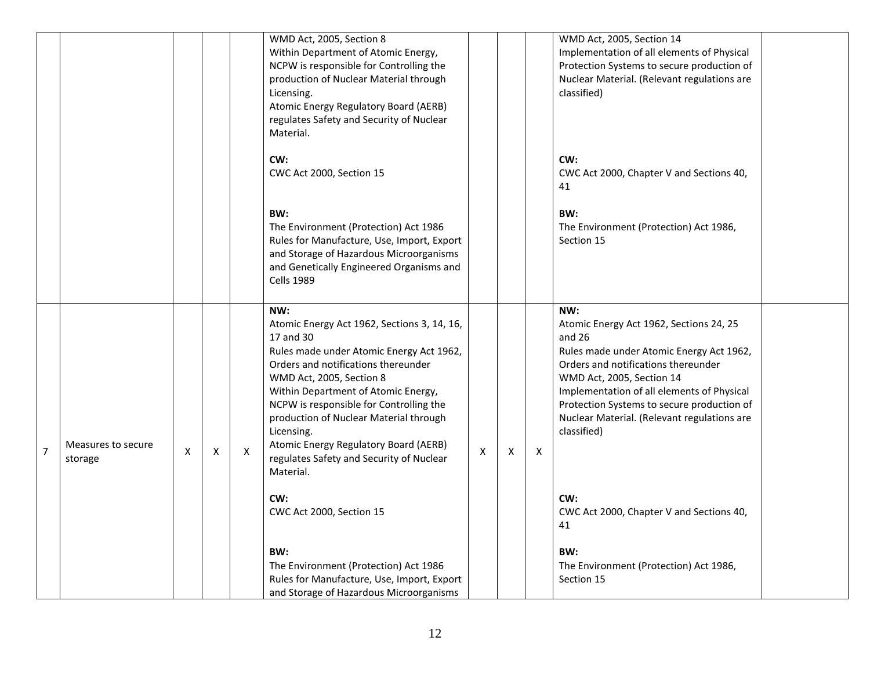|                |                               |   |   |   | WMD Act, 2005, Section 8<br>Within Department of Atomic Energy,<br>NCPW is responsible for Controlling the<br>production of Nuclear Material through<br>Licensing.<br>Atomic Energy Regulatory Board (AERB)<br>regulates Safety and Security of Nuclear<br>Material.                                                                                                                                                       |   |   |   | WMD Act, 2005, Section 14<br>Implementation of all elements of Physical<br>Protection Systems to secure production of<br>Nuclear Material. (Relevant regulations are<br>classified)                                                                                                                                                  |  |
|----------------|-------------------------------|---|---|---|----------------------------------------------------------------------------------------------------------------------------------------------------------------------------------------------------------------------------------------------------------------------------------------------------------------------------------------------------------------------------------------------------------------------------|---|---|---|--------------------------------------------------------------------------------------------------------------------------------------------------------------------------------------------------------------------------------------------------------------------------------------------------------------------------------------|--|
|                |                               |   |   |   | CW:<br>CWC Act 2000, Section 15                                                                                                                                                                                                                                                                                                                                                                                            |   |   |   | CW:<br>CWC Act 2000, Chapter V and Sections 40,<br>41                                                                                                                                                                                                                                                                                |  |
|                |                               |   |   |   | BW:<br>The Environment (Protection) Act 1986<br>Rules for Manufacture, Use, Import, Export<br>and Storage of Hazardous Microorganisms<br>and Genetically Engineered Organisms and<br><b>Cells 1989</b>                                                                                                                                                                                                                     |   |   |   | BW:<br>The Environment (Protection) Act 1986,<br>Section 15                                                                                                                                                                                                                                                                          |  |
| $\overline{7}$ | Measures to secure<br>storage | X | X | X | NW:<br>Atomic Energy Act 1962, Sections 3, 14, 16,<br>17 and 30<br>Rules made under Atomic Energy Act 1962,<br>Orders and notifications thereunder<br>WMD Act, 2005, Section 8<br>Within Department of Atomic Energy,<br>NCPW is responsible for Controlling the<br>production of Nuclear Material through<br>Licensing.<br>Atomic Energy Regulatory Board (AERB)<br>regulates Safety and Security of Nuclear<br>Material. | X | X | X | NW:<br>Atomic Energy Act 1962, Sections 24, 25<br>and $26$<br>Rules made under Atomic Energy Act 1962,<br>Orders and notifications thereunder<br>WMD Act, 2005, Section 14<br>Implementation of all elements of Physical<br>Protection Systems to secure production of<br>Nuclear Material. (Relevant regulations are<br>classified) |  |
|                |                               |   |   |   | CW:<br>CWC Act 2000, Section 15                                                                                                                                                                                                                                                                                                                                                                                            |   |   |   | CW:<br>CWC Act 2000, Chapter V and Sections 40,<br>41                                                                                                                                                                                                                                                                                |  |
|                |                               |   |   |   | BW:<br>The Environment (Protection) Act 1986<br>Rules for Manufacture, Use, Import, Export<br>and Storage of Hazardous Microorganisms                                                                                                                                                                                                                                                                                      |   |   |   | BW:<br>The Environment (Protection) Act 1986,<br>Section 15                                                                                                                                                                                                                                                                          |  |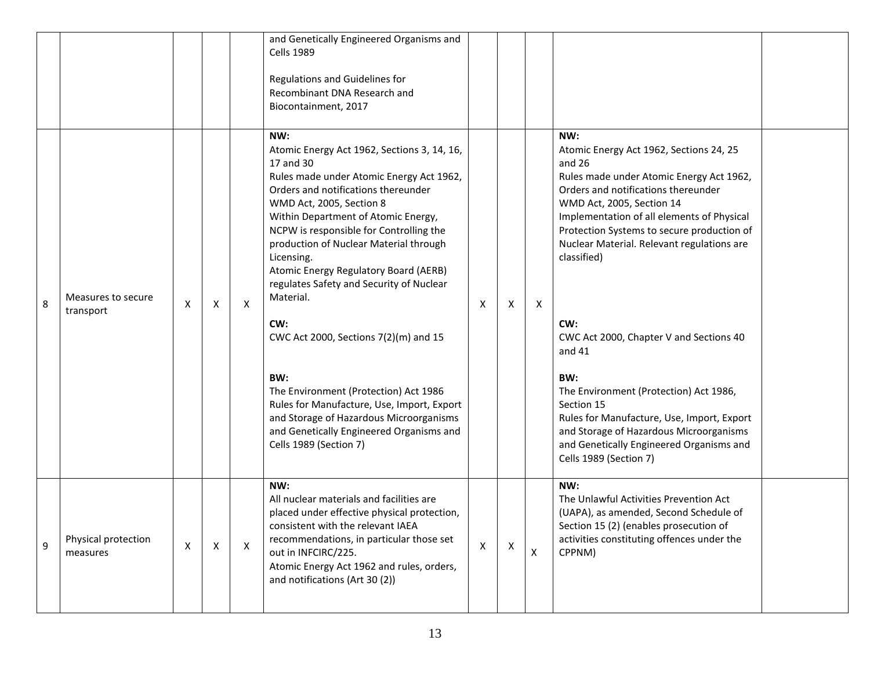|   |                                 |                           |                           |   | and Genetically Engineered Organisms and<br><b>Cells 1989</b><br>Regulations and Guidelines for<br>Recombinant DNA Research and<br>Biocontainment, 2017                                                                                                                                                                                                                                                                                                                                                                                                                                                                                                                                   |                           |   |              |                                                                                                                                                                                                                                                                                                                                                                                                                                                                                                                                                                                                                             |  |
|---|---------------------------------|---------------------------|---------------------------|---|-------------------------------------------------------------------------------------------------------------------------------------------------------------------------------------------------------------------------------------------------------------------------------------------------------------------------------------------------------------------------------------------------------------------------------------------------------------------------------------------------------------------------------------------------------------------------------------------------------------------------------------------------------------------------------------------|---------------------------|---|--------------|-----------------------------------------------------------------------------------------------------------------------------------------------------------------------------------------------------------------------------------------------------------------------------------------------------------------------------------------------------------------------------------------------------------------------------------------------------------------------------------------------------------------------------------------------------------------------------------------------------------------------------|--|
| 8 | Measures to secure<br>transport | $\boldsymbol{\mathsf{X}}$ | $\times$                  | X | NW:<br>Atomic Energy Act 1962, Sections 3, 14, 16,<br>17 and 30<br>Rules made under Atomic Energy Act 1962,<br>Orders and notifications thereunder<br>WMD Act, 2005, Section 8<br>Within Department of Atomic Energy,<br>NCPW is responsible for Controlling the<br>production of Nuclear Material through<br>Licensing.<br>Atomic Energy Regulatory Board (AERB)<br>regulates Safety and Security of Nuclear<br>Material.<br>CW:<br>CWC Act 2000, Sections 7(2)(m) and 15<br>BW:<br>The Environment (Protection) Act 1986<br>Rules for Manufacture, Use, Import, Export<br>and Storage of Hazardous Microorganisms<br>and Genetically Engineered Organisms and<br>Cells 1989 (Section 7) | $\times$                  | Χ | $\mathsf{X}$ | NW:<br>Atomic Energy Act 1962, Sections 24, 25<br>and 26<br>Rules made under Atomic Energy Act 1962,<br>Orders and notifications thereunder<br>WMD Act, 2005, Section 14<br>Implementation of all elements of Physical<br>Protection Systems to secure production of<br>Nuclear Material. Relevant regulations are<br>classified)<br>CW:<br>CWC Act 2000, Chapter V and Sections 40<br>and 41<br>BW:<br>The Environment (Protection) Act 1986,<br>Section 15<br>Rules for Manufacture, Use, Import, Export<br>and Storage of Hazardous Microorganisms<br>and Genetically Engineered Organisms and<br>Cells 1989 (Section 7) |  |
| 9 | Physical protection<br>measures | $\boldsymbol{\mathsf{X}}$ | $\boldsymbol{\mathsf{X}}$ | X | NW:<br>All nuclear materials and facilities are<br>placed under effective physical protection,<br>consistent with the relevant IAEA<br>recommendations, in particular those set<br>out in INFCIRC/225.<br>Atomic Energy Act 1962 and rules, orders,<br>and notifications (Art 30 (2))                                                                                                                                                                                                                                                                                                                                                                                                     | $\boldsymbol{\mathsf{X}}$ | X | X            | NW:<br>The Unlawful Activities Prevention Act<br>(UAPA), as amended, Second Schedule of<br>Section 15 (2) (enables prosecution of<br>activities constituting offences under the<br>CPPNM)                                                                                                                                                                                                                                                                                                                                                                                                                                   |  |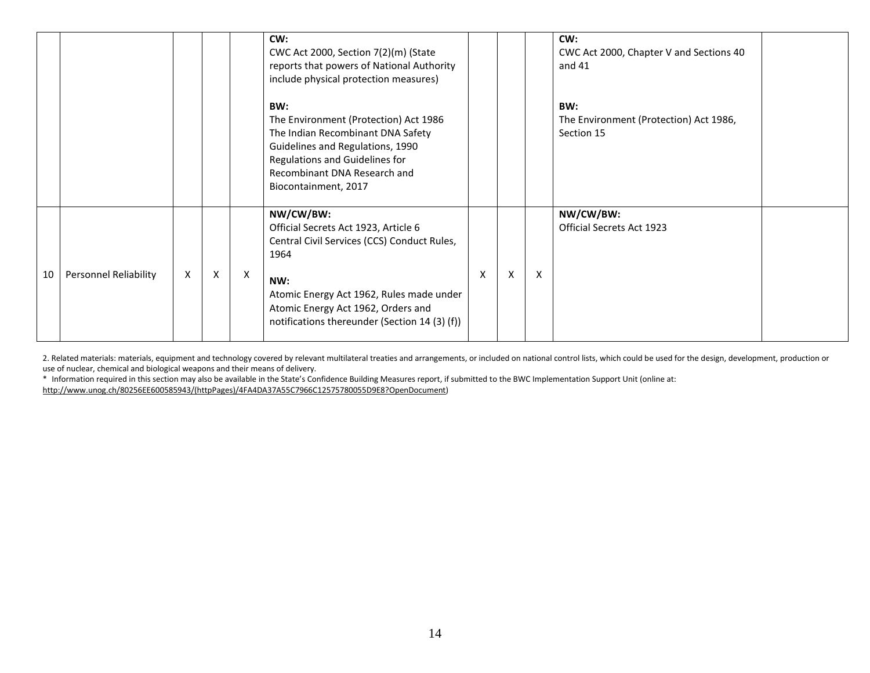|    |                       |   |          |   | CW:<br>CWC Act 2000, Section 7(2)(m) (State<br>reports that powers of National Authority<br>include physical protection measures)                                                                                                                  |   |   |                           | CW:<br>CWC Act 2000, Chapter V and Sections 40<br>and $41$  |  |
|----|-----------------------|---|----------|---|----------------------------------------------------------------------------------------------------------------------------------------------------------------------------------------------------------------------------------------------------|---|---|---------------------------|-------------------------------------------------------------|--|
|    |                       |   |          |   | BW:<br>The Environment (Protection) Act 1986<br>The Indian Recombinant DNA Safety<br>Guidelines and Regulations, 1990<br>Regulations and Guidelines for<br>Recombinant DNA Research and<br>Biocontainment, 2017                                    |   |   |                           | BW:<br>The Environment (Protection) Act 1986,<br>Section 15 |  |
| 10 | Personnel Reliability | X | $\times$ | X | NW/CW/BW:<br>Official Secrets Act 1923, Article 6<br>Central Civil Services (CCS) Conduct Rules,<br>1964<br>NW:<br>Atomic Energy Act 1962, Rules made under<br>Atomic Energy Act 1962, Orders and<br>notifications thereunder (Section 14 (3) (f)) | X | X | $\boldsymbol{\mathsf{x}}$ | NW/CW/BW:<br>Official Secrets Act 1923                      |  |

2. Related materials: materials, equipment and technology covered by relevant multilateral treaties and arrangements, or included on national control lists, which could be used for the design, development, production or use of nuclear, chemical and biological weapons and their means of delivery.

\* Information required in this section may also be available in the State's Confidence Building Measures report, if submitted to the BWC Implementation Support Unit (online at:

[http://www.unog.ch/80256EE600585943/\(httpPages\)/4FA4DA37A55C7966C12575780055D9E8?OpenDocument\)](http://www.unog.ch/80256EE600585943/(httpPages)/4FA4DA37A55C7966C12575780055D9E8?OpenDocument)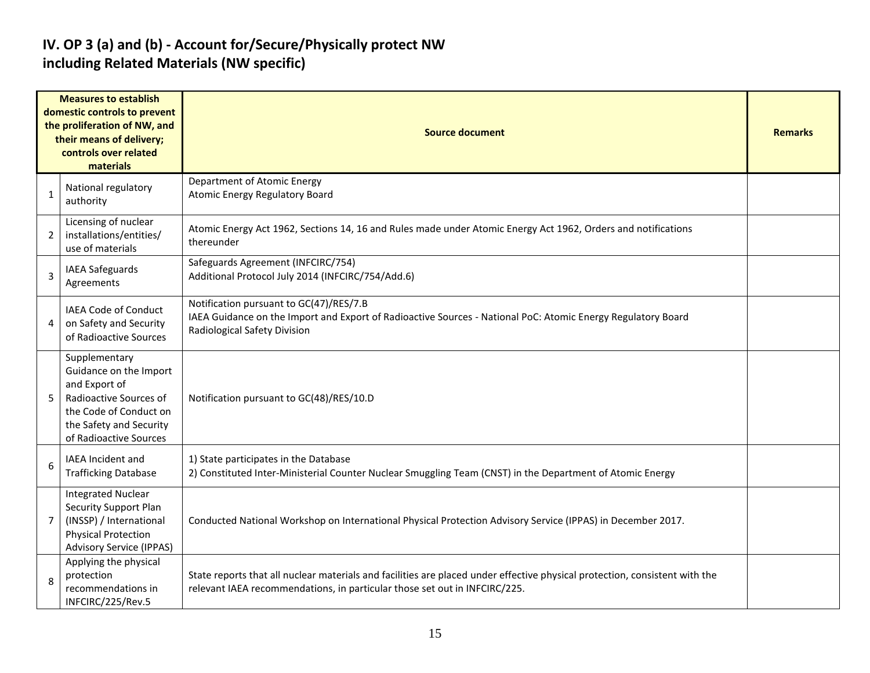### **IV. OP 3 (a) and (b) - Account for/Secure/Physically protect NW including Related Materials (NW specific)**

|                | <b>Measures to establish</b><br>domestic controls to prevent<br>the proliferation of NW, and<br>their means of delivery;<br>controls over related<br>materials    | <b>Source document</b>                                                                                                                                                                                    |  |  |  |  |  |  |  |  |
|----------------|-------------------------------------------------------------------------------------------------------------------------------------------------------------------|-----------------------------------------------------------------------------------------------------------------------------------------------------------------------------------------------------------|--|--|--|--|--|--|--|--|
| 1              | National regulatory<br>authority                                                                                                                                  | Department of Atomic Energy<br><b>Atomic Energy Regulatory Board</b>                                                                                                                                      |  |  |  |  |  |  |  |  |
| $\overline{2}$ | Licensing of nuclear<br>installations/entities/<br>use of materials                                                                                               | Atomic Energy Act 1962, Sections 14, 16 and Rules made under Atomic Energy Act 1962, Orders and notifications<br>thereunder                                                                               |  |  |  |  |  |  |  |  |
| 3              | IAEA Safeguards<br>Agreements                                                                                                                                     | Safeguards Agreement (INFCIRC/754)<br>Additional Protocol July 2014 (INFCIRC/754/Add.6)                                                                                                                   |  |  |  |  |  |  |  |  |
| 4              | IAEA Code of Conduct<br>on Safety and Security<br>of Radioactive Sources                                                                                          | Notification pursuant to GC(47)/RES/7.B<br>IAEA Guidance on the Import and Export of Radioactive Sources - National PoC: Atomic Energy Regulatory Board<br>Radiological Safety Division                   |  |  |  |  |  |  |  |  |
| 5              | Supplementary<br>Guidance on the Import<br>and Export of<br>Radioactive Sources of<br>the Code of Conduct on<br>the Safety and Security<br>of Radioactive Sources | Notification pursuant to GC(48)/RES/10.D                                                                                                                                                                  |  |  |  |  |  |  |  |  |
| 6              | <b>IAEA Incident and</b><br><b>Trafficking Database</b>                                                                                                           | 1) State participates in the Database<br>2) Constituted Inter-Ministerial Counter Nuclear Smuggling Team (CNST) in the Department of Atomic Energy                                                        |  |  |  |  |  |  |  |  |
| $\overline{7}$ | <b>Integrated Nuclear</b><br><b>Security Support Plan</b><br>(INSSP) / International<br><b>Physical Protection</b><br><b>Advisory Service (IPPAS)</b>             | Conducted National Workshop on International Physical Protection Advisory Service (IPPAS) in December 2017.                                                                                               |  |  |  |  |  |  |  |  |
| 8              | Applying the physical<br>protection<br>recommendations in<br>INFCIRC/225/Rev.5                                                                                    | State reports that all nuclear materials and facilities are placed under effective physical protection, consistent with the<br>relevant IAEA recommendations, in particular those set out in INFCIRC/225. |  |  |  |  |  |  |  |  |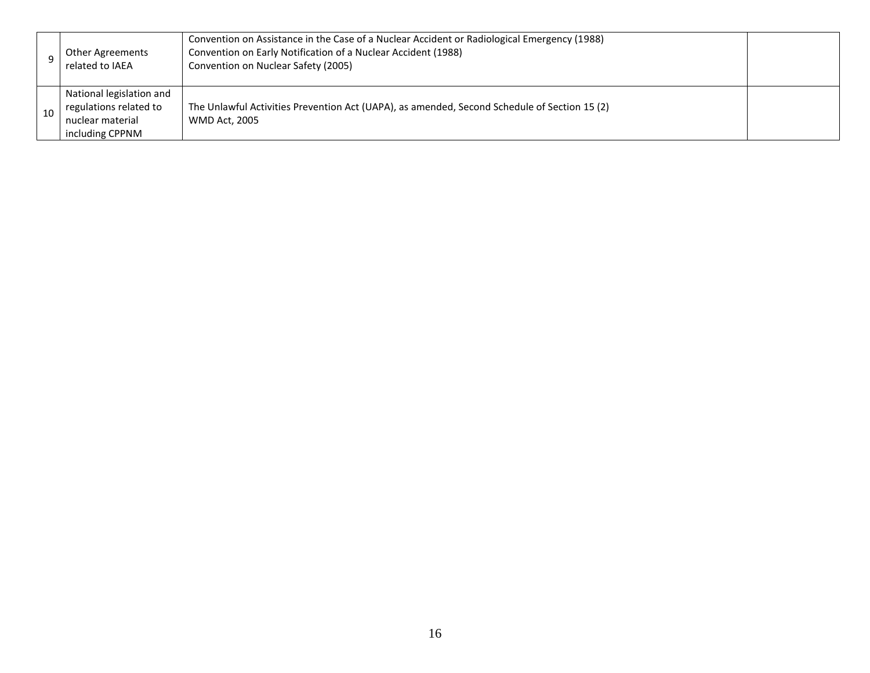|    | <b>Other Agreements</b><br>related to IAEA                                                | Convention on Assistance in the Case of a Nuclear Accident or Radiological Emergency (1988)<br>Convention on Early Notification of a Nuclear Accident (1988)<br>Convention on Nuclear Safety (2005) |  |
|----|-------------------------------------------------------------------------------------------|-----------------------------------------------------------------------------------------------------------------------------------------------------------------------------------------------------|--|
| 10 | National legislation and<br>regulations related to<br>nuclear material<br>including CPPNM | The Unlawful Activities Prevention Act (UAPA), as amended, Second Schedule of Section 15 (2)<br><b>WMD Act, 2005</b>                                                                                |  |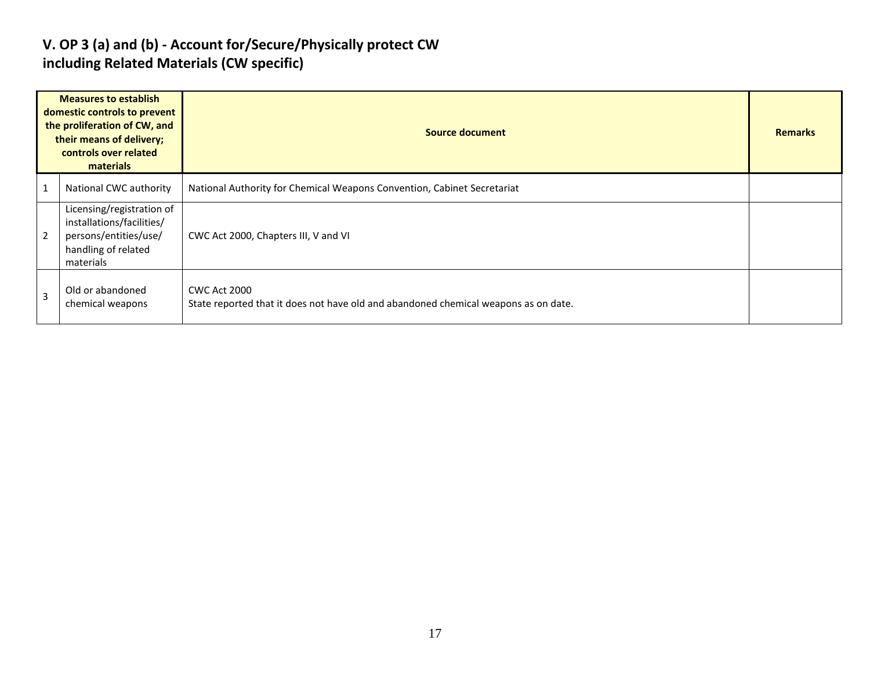### **V. OP 3 (a) and (b) - Account for/Secure/Physically protect CW including Related Materials (CW specific)**

|                | <b>Measures to establish</b><br>domestic controls to prevent<br>the proliferation of CW, and<br>their means of delivery;<br>controls over related<br>materials | Source document                                                                                            | <b>Remarks</b> |
|----------------|----------------------------------------------------------------------------------------------------------------------------------------------------------------|------------------------------------------------------------------------------------------------------------|----------------|
| $\overline{1}$ | National CWC authority                                                                                                                                         | National Authority for Chemical Weapons Convention, Cabinet Secretariat                                    |                |
| $\overline{2}$ | Licensing/registration of<br>installations/facilities/<br>persons/entities/use/<br>handling of related<br>materials                                            | CWC Act 2000, Chapters III, V and VI                                                                       |                |
| $\overline{3}$ | Old or abandoned<br>chemical weapons                                                                                                                           | <b>CWC Act 2000</b><br>State reported that it does not have old and abandoned chemical weapons as on date. |                |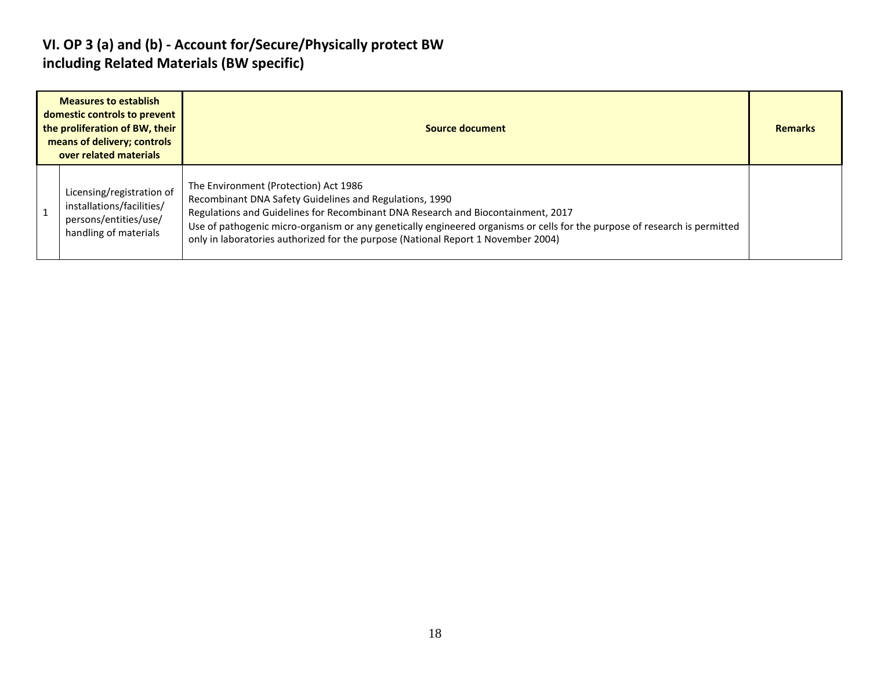### **VI. OP 3 (a) and (b) - Account for/Secure/Physically protect BW including Related Materials (BW specific)**

| <b>Measures to establish</b><br>domestic controls to prevent<br>the proliferation of BW, their<br>means of delivery; controls<br>over related materials | Source document                                                                                                                                                                                                                                                                                                                                                                                         | <b>Remarks</b> |
|---------------------------------------------------------------------------------------------------------------------------------------------------------|---------------------------------------------------------------------------------------------------------------------------------------------------------------------------------------------------------------------------------------------------------------------------------------------------------------------------------------------------------------------------------------------------------|----------------|
| Licensing/registration of<br>installations/facilities/<br>persons/entities/use/<br>handling of materials                                                | The Environment (Protection) Act 1986<br>Recombinant DNA Safety Guidelines and Regulations, 1990<br>Regulations and Guidelines for Recombinant DNA Research and Biocontainment, 2017<br>Use of pathogenic micro-organism or any genetically engineered organisms or cells for the purpose of research is permitted<br>only in laboratories authorized for the purpose (National Report 1 November 2004) |                |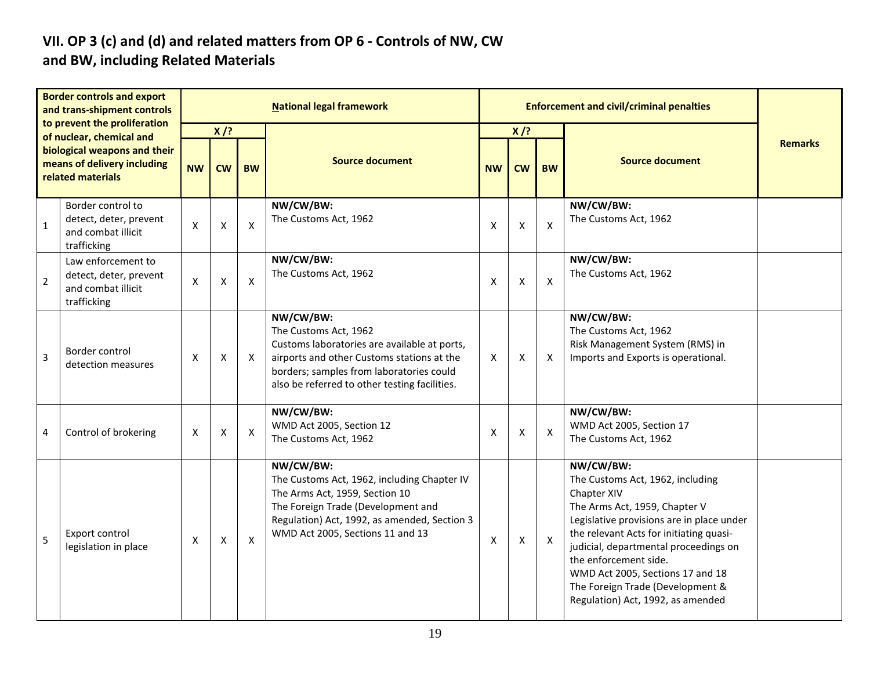#### **VII. OP 3 (c) and (d) and related matters from OP 6 - Controls of NW, CW and BW, including Related Materials**

|                | <b>Border controls and export</b><br>and trans-shipment controls                  |                           |           |           | <b>National legal framework</b>                                                                                                                                                                                               |           | <b>Enforcement and civil/criminal penalties</b> |                           |                                                                                                                                                                                                                                                                                                                                                                      |                |
|----------------|-----------------------------------------------------------------------------------|---------------------------|-----------|-----------|-------------------------------------------------------------------------------------------------------------------------------------------------------------------------------------------------------------------------------|-----------|-------------------------------------------------|---------------------------|----------------------------------------------------------------------------------------------------------------------------------------------------------------------------------------------------------------------------------------------------------------------------------------------------------------------------------------------------------------------|----------------|
|                | to prevent the proliferation<br>of nuclear, chemical and                          |                           | $X$ /?    |           |                                                                                                                                                                                                                               |           | $X$ /?                                          |                           |                                                                                                                                                                                                                                                                                                                                                                      | <b>Remarks</b> |
|                | biological weapons and their<br>means of delivery including<br>related materials  | <b>NW</b>                 | <b>CW</b> | <b>BW</b> | <b>Source document</b>                                                                                                                                                                                                        | <b>NW</b> | <b>CW</b>                                       |                           |                                                                                                                                                                                                                                                                                                                                                                      |                |
| $\mathbf{1}$   | Border control to<br>detect, deter, prevent<br>and combat illicit<br>trafficking  | $\boldsymbol{\mathsf{X}}$ | X         | X         | NW/CW/BW:<br>The Customs Act, 1962                                                                                                                                                                                            | X         | X                                               | $\boldsymbol{\mathsf{X}}$ | NW/CW/BW:<br>The Customs Act, 1962                                                                                                                                                                                                                                                                                                                                   |                |
| $\overline{2}$ | Law enforcement to<br>detect, deter, prevent<br>and combat illicit<br>trafficking | $\boldsymbol{\mathsf{X}}$ | X         | X         | NW/CW/BW:<br>The Customs Act, 1962                                                                                                                                                                                            | X         | X                                               | $\boldsymbol{\mathsf{X}}$ | NW/CW/BW:<br>The Customs Act, 1962                                                                                                                                                                                                                                                                                                                                   |                |
| $\overline{3}$ | Border control<br>detection measures                                              | $\boldsymbol{\mathsf{X}}$ | X         | X         | NW/CW/BW:<br>The Customs Act, 1962<br>Customs laboratories are available at ports,<br>airports and other Customs stations at the<br>borders; samples from laboratories could<br>also be referred to other testing facilities. | X         | X                                               | $\times$                  | NW/CW/BW:<br>The Customs Act, 1962<br>Risk Management System (RMS) in<br>Imports and Exports is operational.                                                                                                                                                                                                                                                         |                |
| 4              | Control of brokering                                                              | X                         | X         | X         | NW/CW/BW:<br>WMD Act 2005, Section 12<br>The Customs Act, 1962                                                                                                                                                                | X         | X                                               | $\boldsymbol{\mathsf{X}}$ | NW/CW/BW:<br>WMD Act 2005, Section 17<br>The Customs Act, 1962                                                                                                                                                                                                                                                                                                       |                |
| 5              | Export control<br>legislation in place                                            | X                         | X         | X         | NW/CW/BW:<br>The Customs Act, 1962, including Chapter IV<br>The Arms Act, 1959, Section 10<br>The Foreign Trade (Development and<br>Regulation) Act, 1992, as amended, Section 3<br>WMD Act 2005, Sections 11 and 13          | X         | X                                               | $\boldsymbol{\mathsf{X}}$ | NW/CW/BW:<br>The Customs Act, 1962, including<br>Chapter XIV<br>The Arms Act, 1959, Chapter V<br>Legislative provisions are in place under<br>the relevant Acts for initiating quasi-<br>judicial, departmental proceedings on<br>the enforcement side.<br>WMD Act 2005, Sections 17 and 18<br>The Foreign Trade (Development &<br>Regulation) Act, 1992, as amended |                |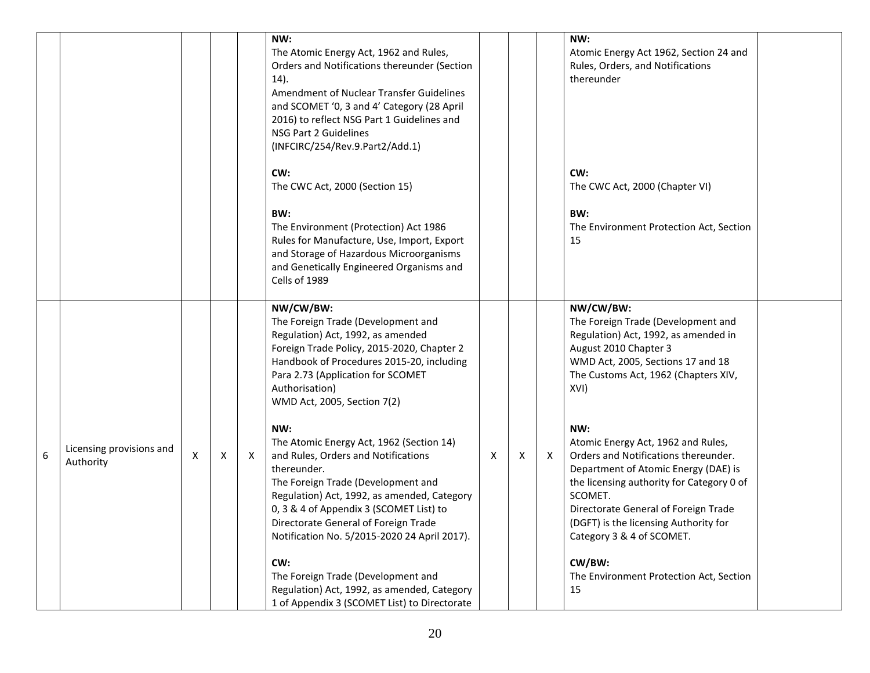|   |                                       |   |   |   | NW:<br>The Atomic Energy Act, 1962 and Rules,<br>Orders and Notifications thereunder (Section<br>14).<br>Amendment of Nuclear Transfer Guidelines<br>and SCOMET '0, 3 and 4' Category (28 April<br>2016) to reflect NSG Part 1 Guidelines and<br>NSG Part 2 Guidelines<br>(INFCIRC/254/Rev.9.Part2/Add.1)<br>CW:<br>The CWC Act, 2000 (Section 15)<br>BW:<br>The Environment (Protection) Act 1986<br>Rules for Manufacture, Use, Import, Export<br>and Storage of Hazardous Microorganisms<br>and Genetically Engineered Organisms and<br>Cells of 1989                                                                                                                                                                                           |   |   |   | NW:<br>Atomic Energy Act 1962, Section 24 and<br>Rules, Orders, and Notifications<br>thereunder<br>CW:<br>The CWC Act, 2000 (Chapter VI)<br>BW:<br>The Environment Protection Act, Section<br>15                                                                                                                                                                                                                                                                                                                                                                    |  |
|---|---------------------------------------|---|---|---|----------------------------------------------------------------------------------------------------------------------------------------------------------------------------------------------------------------------------------------------------------------------------------------------------------------------------------------------------------------------------------------------------------------------------------------------------------------------------------------------------------------------------------------------------------------------------------------------------------------------------------------------------------------------------------------------------------------------------------------------------|---|---|---|---------------------------------------------------------------------------------------------------------------------------------------------------------------------------------------------------------------------------------------------------------------------------------------------------------------------------------------------------------------------------------------------------------------------------------------------------------------------------------------------------------------------------------------------------------------------|--|
| 6 | Licensing provisions and<br>Authority | Χ | Х | X | NW/CW/BW:<br>The Foreign Trade (Development and<br>Regulation) Act, 1992, as amended<br>Foreign Trade Policy, 2015-2020, Chapter 2<br>Handbook of Procedures 2015-20, including<br>Para 2.73 (Application for SCOMET<br>Authorisation)<br>WMD Act, 2005, Section 7(2)<br>NW:<br>The Atomic Energy Act, 1962 (Section 14)<br>and Rules, Orders and Notifications<br>thereunder.<br>The Foreign Trade (Development and<br>Regulation) Act, 1992, as amended, Category<br>0, 3 & 4 of Appendix 3 (SCOMET List) to<br>Directorate General of Foreign Trade<br>Notification No. 5/2015-2020 24 April 2017).<br>CW:<br>The Foreign Trade (Development and<br>Regulation) Act, 1992, as amended, Category<br>1 of Appendix 3 (SCOMET List) to Directorate | Χ | X | X | NW/CW/BW:<br>The Foreign Trade (Development and<br>Regulation) Act, 1992, as amended in<br>August 2010 Chapter 3<br>WMD Act, 2005, Sections 17 and 18<br>The Customs Act, 1962 (Chapters XIV,<br>XVI)<br>NW:<br>Atomic Energy Act, 1962 and Rules,<br>Orders and Notifications thereunder.<br>Department of Atomic Energy (DAE) is<br>the licensing authority for Category 0 of<br>SCOMET.<br>Directorate General of Foreign Trade<br>(DGFT) is the licensing Authority for<br>Category 3 & 4 of SCOMET.<br>CW/BW:<br>The Environment Protection Act, Section<br>15 |  |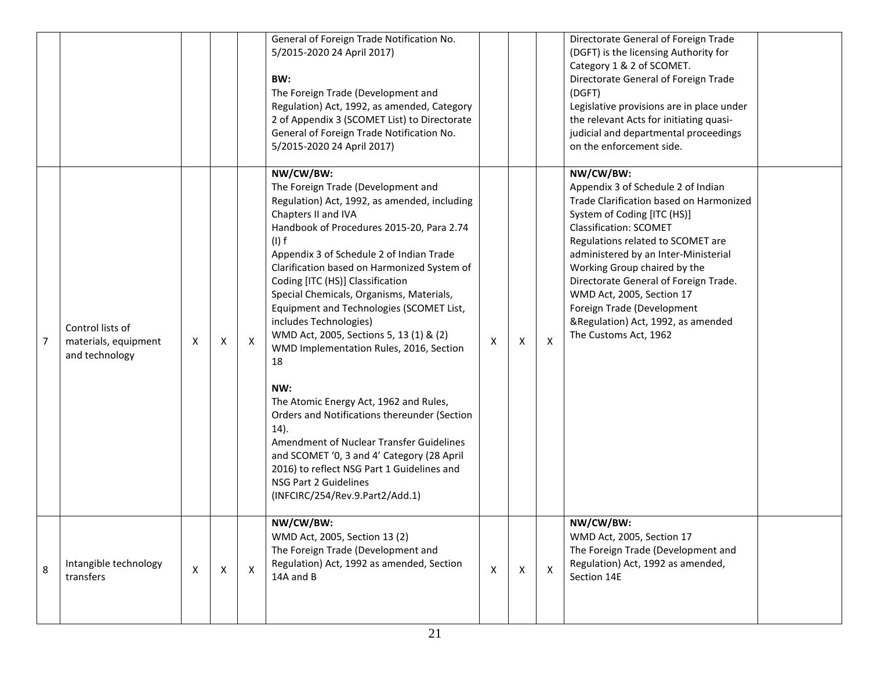|   |                                                            |   |   |              | General of Foreign Trade Notification No.<br>5/2015-2020 24 April 2017)<br>BW:<br>The Foreign Trade (Development and<br>Regulation) Act, 1992, as amended, Category<br>2 of Appendix 3 (SCOMET List) to Directorate<br>General of Foreign Trade Notification No.<br>5/2015-2020 24 April 2017)                                                                                                                                                                                                                                                                                                                                                                                                                                                                                                                                           |                    |              |                | Directorate General of Foreign Trade<br>(DGFT) is the licensing Authority for<br>Category 1 & 2 of SCOMET.<br>Directorate General of Foreign Trade<br>(DGFT)<br>Legislative provisions are in place under<br>the relevant Acts for initiating quasi-<br>judicial and departmental proceedings<br>on the enforcement side.                                                                                                                  |
|---|------------------------------------------------------------|---|---|--------------|------------------------------------------------------------------------------------------------------------------------------------------------------------------------------------------------------------------------------------------------------------------------------------------------------------------------------------------------------------------------------------------------------------------------------------------------------------------------------------------------------------------------------------------------------------------------------------------------------------------------------------------------------------------------------------------------------------------------------------------------------------------------------------------------------------------------------------------|--------------------|--------------|----------------|--------------------------------------------------------------------------------------------------------------------------------------------------------------------------------------------------------------------------------------------------------------------------------------------------------------------------------------------------------------------------------------------------------------------------------------------|
| 7 | Control lists of<br>materials, equipment<br>and technology | Χ | X | X            | NW/CW/BW:<br>The Foreign Trade (Development and<br>Regulation) Act, 1992, as amended, including<br>Chapters II and IVA<br>Handbook of Procedures 2015-20, Para 2.74<br>$(I)$ f<br>Appendix 3 of Schedule 2 of Indian Trade<br>Clarification based on Harmonized System of<br>Coding [ITC (HS)] Classification<br>Special Chemicals, Organisms, Materials,<br>Equipment and Technologies (SCOMET List,<br>includes Technologies)<br>WMD Act, 2005, Sections 5, 13 (1) & (2)<br>WMD Implementation Rules, 2016, Section<br>18<br>NW:<br>The Atomic Energy Act, 1962 and Rules,<br>Orders and Notifications thereunder (Section<br>14).<br>Amendment of Nuclear Transfer Guidelines<br>and SCOMET '0, 3 and 4' Category (28 April<br>2016) to reflect NSG Part 1 Guidelines and<br>NSG Part 2 Guidelines<br>(INFCIRC/254/Rev.9.Part2/Add.1) | $\pmb{\mathsf{X}}$ | X            | $\pmb{\times}$ | NW/CW/BW:<br>Appendix 3 of Schedule 2 of Indian<br>Trade Clarification based on Harmonized<br>System of Coding [ITC (HS)]<br><b>Classification: SCOMET</b><br>Regulations related to SCOMET are<br>administered by an Inter-Ministerial<br>Working Group chaired by the<br>Directorate General of Foreign Trade.<br>WMD Act, 2005, Section 17<br>Foreign Trade (Development<br>&Regulation) Act, 1992, as amended<br>The Customs Act, 1962 |
| 8 | Intangible technology<br>transfers                         | X | X | $\mathsf{X}$ | NW/CW/BW:<br>WMD Act, 2005, Section 13 (2)<br>The Foreign Trade (Development and<br>Regulation) Act, 1992 as amended, Section<br>14A and B                                                                                                                                                                                                                                                                                                                                                                                                                                                                                                                                                                                                                                                                                               | X                  | $\mathsf{X}$ | $\mathsf{X}$   | NW/CW/BW:<br>WMD Act, 2005, Section 17<br>The Foreign Trade (Development and<br>Regulation) Act, 1992 as amended,<br>Section 14E                                                                                                                                                                                                                                                                                                           |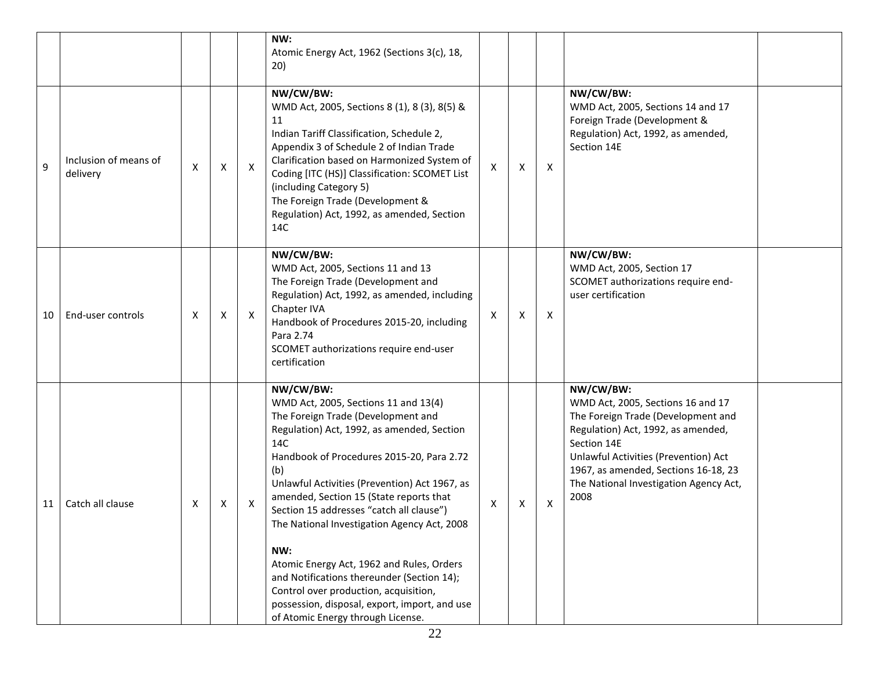|    |                                   |   |                    |              | NW:<br>Atomic Energy Act, 1962 (Sections 3(c), 18,<br>20)                                                                                                                                                                                                                                                                                                                                                                                                                                                                                                                                                                |   |                           |   |                                                                                                                                                                                                                                                                             |
|----|-----------------------------------|---|--------------------|--------------|--------------------------------------------------------------------------------------------------------------------------------------------------------------------------------------------------------------------------------------------------------------------------------------------------------------------------------------------------------------------------------------------------------------------------------------------------------------------------------------------------------------------------------------------------------------------------------------------------------------------------|---|---------------------------|---|-----------------------------------------------------------------------------------------------------------------------------------------------------------------------------------------------------------------------------------------------------------------------------|
| 9  | Inclusion of means of<br>delivery | X | Χ                  | $\mathsf{X}$ | NW/CW/BW:<br>WMD Act, 2005, Sections 8 (1), 8 (3), 8(5) &<br>11<br>Indian Tariff Classification, Schedule 2,<br>Appendix 3 of Schedule 2 of Indian Trade<br>Clarification based on Harmonized System of<br>Coding [ITC (HS)] Classification: SCOMET List<br>(including Category 5)<br>The Foreign Trade (Development &<br>Regulation) Act, 1992, as amended, Section<br>14C                                                                                                                                                                                                                                              | X | $\boldsymbol{\mathsf{X}}$ | X | NW/CW/BW:<br>WMD Act, 2005, Sections 14 and 17<br>Foreign Trade (Development &<br>Regulation) Act, 1992, as amended,<br>Section 14E                                                                                                                                         |
| 10 | End-user controls                 | X | $\pmb{\mathsf{X}}$ | $\mathsf{X}$ | NW/CW/BW:<br>WMD Act, 2005, Sections 11 and 13<br>The Foreign Trade (Development and<br>Regulation) Act, 1992, as amended, including<br>Chapter IVA<br>Handbook of Procedures 2015-20, including<br>Para 2.74<br>SCOMET authorizations require end-user<br>certification                                                                                                                                                                                                                                                                                                                                                 | X | $\boldsymbol{\mathsf{X}}$ | X | NW/CW/BW:<br>WMD Act, 2005, Section 17<br>SCOMET authorizations require end-<br>user certification                                                                                                                                                                          |
| 11 | Catch all clause                  | Χ | x                  | Χ            | NW/CW/BW:<br>WMD Act, 2005, Sections 11 and 13(4)<br>The Foreign Trade (Development and<br>Regulation) Act, 1992, as amended, Section<br>14C<br>Handbook of Procedures 2015-20, Para 2.72<br>(b)<br>Unlawful Activities (Prevention) Act 1967, as<br>amended, Section 15 (State reports that<br>Section 15 addresses "catch all clause")<br>The National Investigation Agency Act, 2008<br>NW:<br>Atomic Energy Act, 1962 and Rules, Orders<br>and Notifications thereunder (Section 14);<br>Control over production, acquisition,<br>possession, disposal, export, import, and use<br>of Atomic Energy through License. | Χ | X                         | X | NW/CW/BW:<br>WMD Act, 2005, Sections 16 and 17<br>The Foreign Trade (Development and<br>Regulation) Act, 1992, as amended,<br>Section 14E<br>Unlawful Activities (Prevention) Act<br>1967, as amended, Sections 16-18, 23<br>The National Investigation Agency Act,<br>2008 |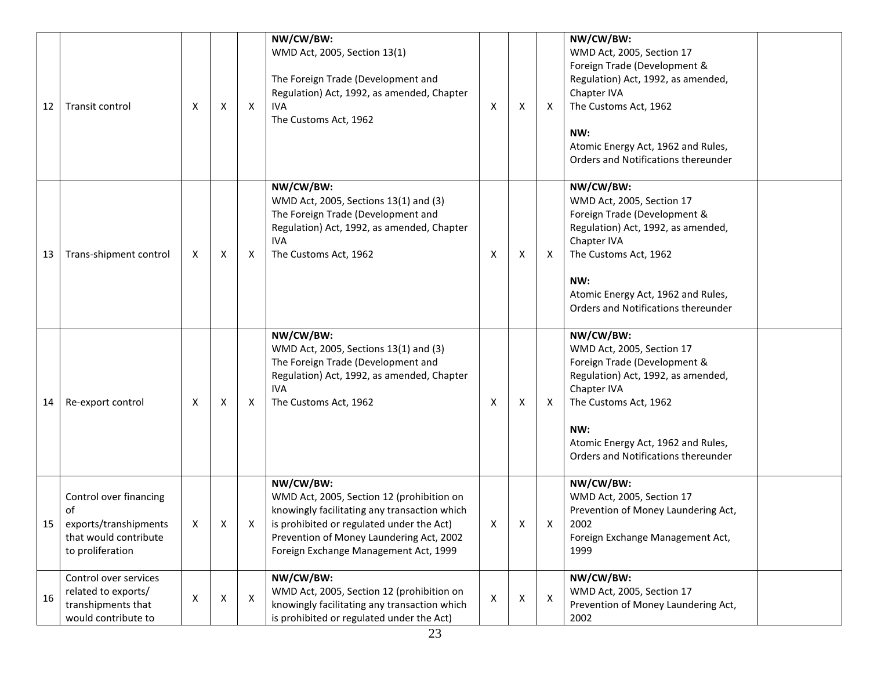| 12 | Transit control                                                                                    | X | X | х | NW/CW/BW:<br>WMD Act, 2005, Section 13(1)<br>The Foreign Trade (Development and<br>Regulation) Act, 1992, as amended, Chapter<br><b>IVA</b><br>The Customs Act, 1962                                                                     | X | Χ | X | NW/CW/BW:<br>WMD Act, 2005, Section 17<br>Foreign Trade (Development &<br>Regulation) Act, 1992, as amended,<br>Chapter IVA<br>The Customs Act, 1962<br>NW:<br>Atomic Energy Act, 1962 and Rules,<br>Orders and Notifications thereunder |
|----|----------------------------------------------------------------------------------------------------|---|---|---|------------------------------------------------------------------------------------------------------------------------------------------------------------------------------------------------------------------------------------------|---|---|---|------------------------------------------------------------------------------------------------------------------------------------------------------------------------------------------------------------------------------------------|
| 13 | Trans-shipment control                                                                             | X | X | Х | NW/CW/BW:<br>WMD Act, 2005, Sections 13(1) and (3)<br>The Foreign Trade (Development and<br>Regulation) Act, 1992, as amended, Chapter<br><b>IVA</b><br>The Customs Act, 1962                                                            | X | Χ | X | NW/CW/BW:<br>WMD Act, 2005, Section 17<br>Foreign Trade (Development &<br>Regulation) Act, 1992, as amended,<br>Chapter IVA<br>The Customs Act, 1962<br>NW:<br>Atomic Energy Act, 1962 and Rules,<br>Orders and Notifications thereunder |
| 14 | Re-export control                                                                                  | х | Χ | X | NW/CW/BW:<br>WMD Act, 2005, Sections 13(1) and (3)<br>The Foreign Trade (Development and<br>Regulation) Act, 1992, as amended, Chapter<br><b>IVA</b><br>The Customs Act, 1962                                                            | X | х | X | NW/CW/BW:<br>WMD Act, 2005, Section 17<br>Foreign Trade (Development &<br>Regulation) Act, 1992, as amended,<br>Chapter IVA<br>The Customs Act, 1962<br>NW:<br>Atomic Energy Act, 1962 and Rules,<br>Orders and Notifications thereunder |
|    | Control over financing<br>of<br>exports/transhipments<br>that would contribute<br>to proliferation | X | X |   | NW/CW/BW:<br>WMD Act, 2005, Section 12 (prohibition on<br>knowingly facilitating any transaction which<br>is prohibited or regulated under the Act)<br>Prevention of Money Laundering Act, 2002<br>Foreign Exchange Management Act, 1999 | X | X | Х | NW/CW/BW:<br>WMD Act, 2005, Section 17<br>Prevention of Money Laundering Act,<br>2002<br>Foreign Exchange Management Act,<br>1999                                                                                                        |
| 16 | Control over services<br>related to exports/<br>transhipments that<br>would contribute to          | Χ | X | X | NW/CW/BW:<br>WMD Act, 2005, Section 12 (prohibition on<br>knowingly facilitating any transaction which<br>is prohibited or regulated under the Act)                                                                                      | X | Χ | X | NW/CW/BW:<br>WMD Act, 2005, Section 17<br>Prevention of Money Laundering Act,<br>2002                                                                                                                                                    |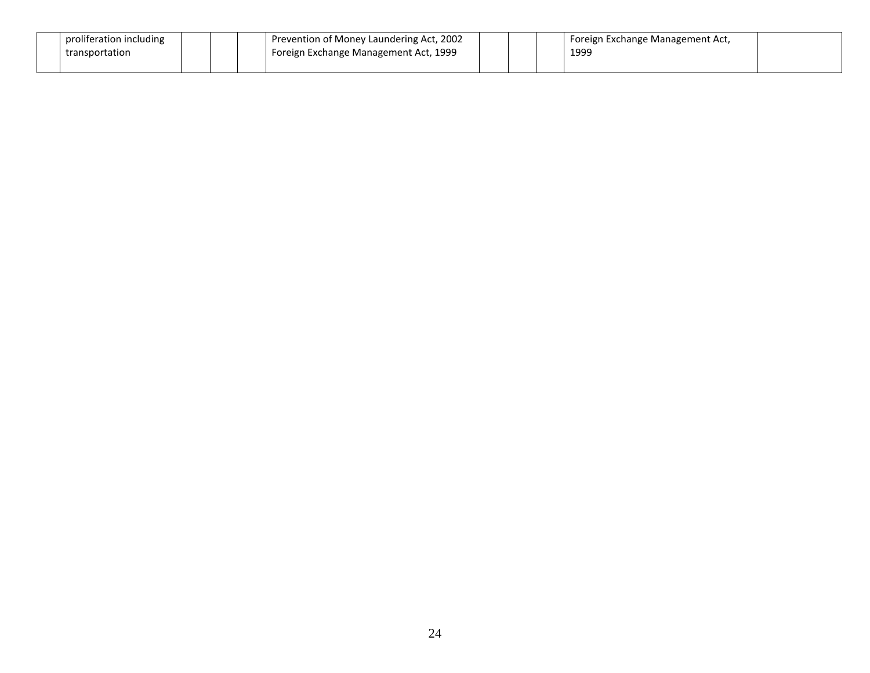| proliferation including |  | Prevention of Money Laundering Act, 2002 |  | Foreign Exchange Management Act, |  |
|-------------------------|--|------------------------------------------|--|----------------------------------|--|
| transportation          |  | Foreign Exchange Management Act, 1999    |  | 1999                             |  |
|                         |  |                                          |  |                                  |  |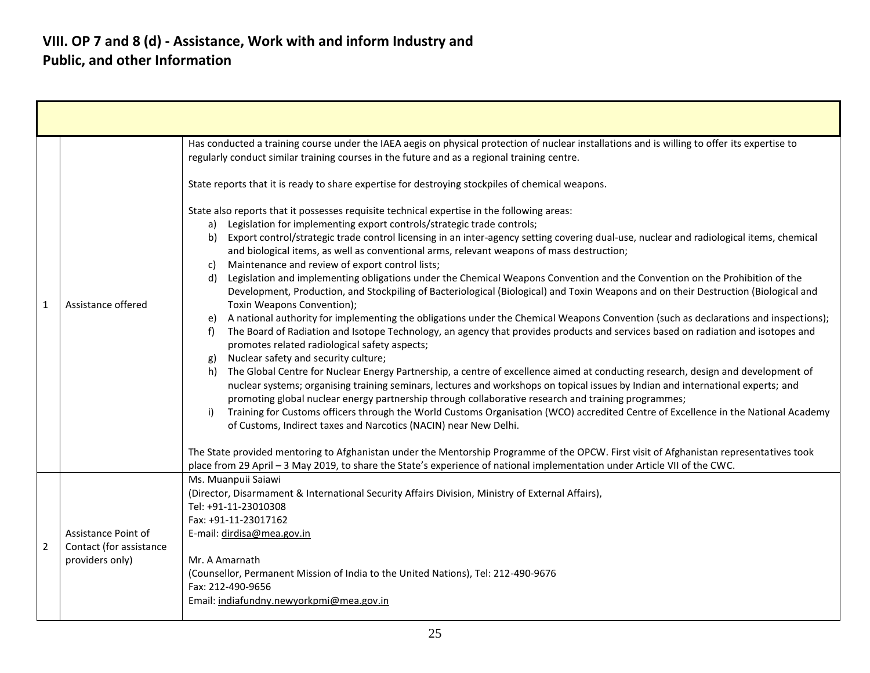|                |                                                                   | Has conducted a training course under the IAEA aegis on physical protection of nuclear installations and is willing to offer its expertise to<br>regularly conduct similar training courses in the future and as a regional training centre.                                                                                                                                                                                                                                                                                                                                                                                                                                                                                                                                                                                                                                                                                                                                                                                                                                                                                                                                                                                                                                                                                                                                                                                                                                                                                                                                                                                                                                                                                                                                                                                                                                                                                                                                                                                                                    |  |  |
|----------------|-------------------------------------------------------------------|-----------------------------------------------------------------------------------------------------------------------------------------------------------------------------------------------------------------------------------------------------------------------------------------------------------------------------------------------------------------------------------------------------------------------------------------------------------------------------------------------------------------------------------------------------------------------------------------------------------------------------------------------------------------------------------------------------------------------------------------------------------------------------------------------------------------------------------------------------------------------------------------------------------------------------------------------------------------------------------------------------------------------------------------------------------------------------------------------------------------------------------------------------------------------------------------------------------------------------------------------------------------------------------------------------------------------------------------------------------------------------------------------------------------------------------------------------------------------------------------------------------------------------------------------------------------------------------------------------------------------------------------------------------------------------------------------------------------------------------------------------------------------------------------------------------------------------------------------------------------------------------------------------------------------------------------------------------------------------------------------------------------------------------------------------------------|--|--|
| $\mathbf{1}$   |                                                                   | State reports that it is ready to share expertise for destroying stockpiles of chemical weapons.                                                                                                                                                                                                                                                                                                                                                                                                                                                                                                                                                                                                                                                                                                                                                                                                                                                                                                                                                                                                                                                                                                                                                                                                                                                                                                                                                                                                                                                                                                                                                                                                                                                                                                                                                                                                                                                                                                                                                                |  |  |
|                | Assistance offered                                                | State also reports that it possesses requisite technical expertise in the following areas:<br>Legislation for implementing export controls/strategic trade controls;<br>a)<br>Export control/strategic trade control licensing in an inter-agency setting covering dual-use, nuclear and radiological items, chemical<br>b)<br>and biological items, as well as conventional arms, relevant weapons of mass destruction;<br>Maintenance and review of export control lists;<br>C)<br>Legislation and implementing obligations under the Chemical Weapons Convention and the Convention on the Prohibition of the<br>d)<br>Development, Production, and Stockpiling of Bacteriological (Biological) and Toxin Weapons and on their Destruction (Biological and<br>Toxin Weapons Convention);<br>A national authority for implementing the obligations under the Chemical Weapons Convention (such as declarations and inspections);<br>e)<br>The Board of Radiation and Isotope Technology, an agency that provides products and services based on radiation and isotopes and<br>f)<br>promotes related radiological safety aspects;<br>Nuclear safety and security culture;<br>g)<br>The Global Centre for Nuclear Energy Partnership, a centre of excellence aimed at conducting research, design and development of<br>h)<br>nuclear systems; organising training seminars, lectures and workshops on topical issues by Indian and international experts; and<br>promoting global nuclear energy partnership through collaborative research and training programmes;<br>Training for Customs officers through the World Customs Organisation (WCO) accredited Centre of Excellence in the National Academy<br>i)<br>of Customs, Indirect taxes and Narcotics (NACIN) near New Delhi.<br>The State provided mentoring to Afghanistan under the Mentorship Programme of the OPCW. First visit of Afghanistan representatives took<br>place from 29 April - 3 May 2019, to share the State's experience of national implementation under Article VII of the CWC. |  |  |
| $\overline{2}$ | Assistance Point of<br>Contact (for assistance<br>providers only) | Ms. Muanpuii Saiawi<br>(Director, Disarmament & International Security Affairs Division, Ministry of External Affairs),<br>Tel: +91-11-23010308<br>Fax: +91-11-23017162<br>E-mail: dirdisa@mea.gov.in<br>Mr. A Amarnath<br>(Counsellor, Permanent Mission of India to the United Nations), Tel: 212-490-9676<br>Fax: 212-490-9656<br>Email: indiafundny.newyorkpmi@mea.gov.in                                                                                                                                                                                                                                                                                                                                                                                                                                                                                                                                                                                                                                                                                                                                                                                                                                                                                                                                                                                                                                                                                                                                                                                                                                                                                                                                                                                                                                                                                                                                                                                                                                                                                   |  |  |